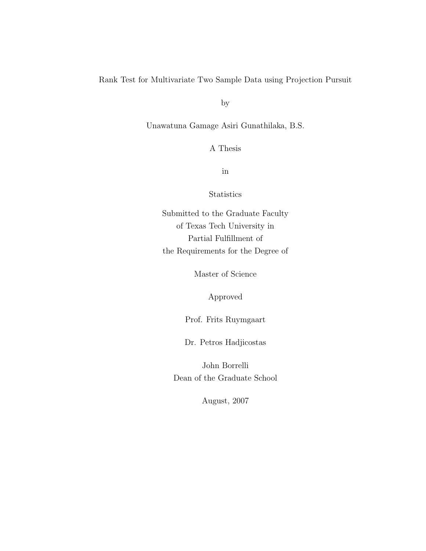Rank Test for Multivariate Two Sample Data using Projection Pursuit

by

Unawatuna Gamage Asiri Gunathilaka, B.S.

A Thesis

in

**Statistics** 

Submitted to the Graduate Faculty of Texas Tech University in Partial Fulfillment of the Requirements for the Degree of

Master of Science

Approved

Prof. Frits Ruymgaart

Dr. Petros Hadjicostas

John Borrelli Dean of the Graduate School

August, 2007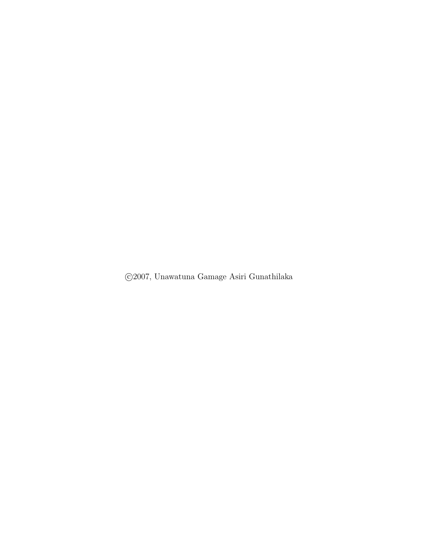$\bigcirc\hspace{-0.04cm}2007,$ Unawatuna Gamage Asiri Gunathilaka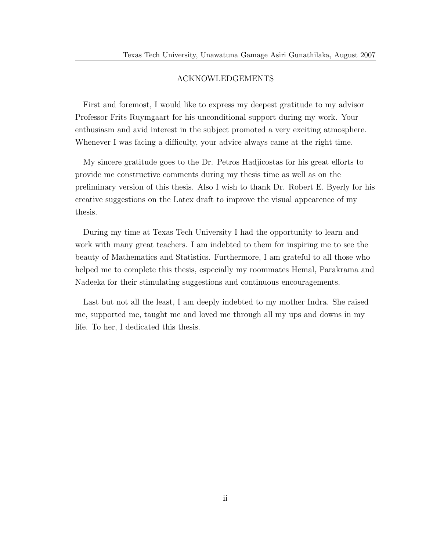#### ACKNOWLEDGEMENTS

First and foremost, I would like to express my deepest gratitude to my advisor Professor Frits Ruymgaart for his unconditional support during my work. Your enthusiasm and avid interest in the subject promoted a very exciting atmosphere. Whenever I was facing a difficulty, your advice always came at the right time.

My sincere gratitude goes to the Dr. Petros Hadjicostas for his great efforts to provide me constructive comments during my thesis time as well as on the preliminary version of this thesis. Also I wish to thank Dr. Robert E. Byerly for his creative suggestions on the Latex draft to improve the visual appearence of my thesis.

During my time at Texas Tech University I had the opportunity to learn and work with many great teachers. I am indebted to them for inspiring me to see the beauty of Mathematics and Statistics. Furthermore, I am grateful to all those who helped me to complete this thesis, especially my roommates Hemal, Parakrama and Nadeeka for their stimulating suggestions and continuous encouragements.

Last but not all the least, I am deeply indebted to my mother Indra. She raised me, supported me, taught me and loved me through all my ups and downs in my life. To her, I dedicated this thesis.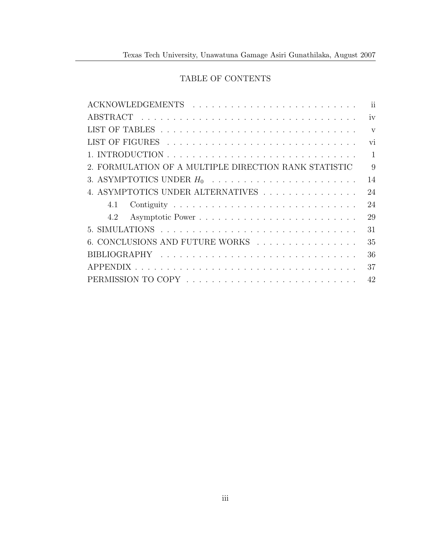# TABLE OF CONTENTS

|                                                       | ii           |
|-------------------------------------------------------|--------------|
|                                                       | iv           |
|                                                       | $\mathbf{V}$ |
|                                                       | vi           |
|                                                       | $\mathbf{1}$ |
| 2. FORMULATION OF A MULTIPLE DIRECTION RANK STATISTIC | 9            |
|                                                       | 14           |
| 4. ASYMPTOTICS UNDER ALTERNATIVES                     | 24           |
| 4.1                                                   | 24           |
| 4.2                                                   | 29           |
|                                                       | 31           |
| 6. CONCLUSIONS AND FUTURE WORKS                       | 35           |
|                                                       | 36           |
|                                                       | 37           |
|                                                       | 42           |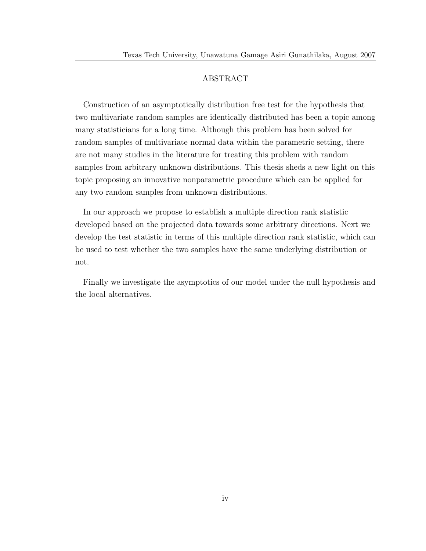### ABSTRACT

Construction of an asymptotically distribution free test for the hypothesis that two multivariate random samples are identically distributed has been a topic among many statisticians for a long time. Although this problem has been solved for random samples of multivariate normal data within the parametric setting, there are not many studies in the literature for treating this problem with random samples from arbitrary unknown distributions. This thesis sheds a new light on this topic proposing an innovative nonparametric procedure which can be applied for any two random samples from unknown distributions.

In our approach we propose to establish a multiple direction rank statistic developed based on the projected data towards some arbitrary directions. Next we develop the test statistic in terms of this multiple direction rank statistic, which can be used to test whether the two samples have the same underlying distribution or not.

Finally we investigate the asymptotics of our model under the null hypothesis and the local alternatives.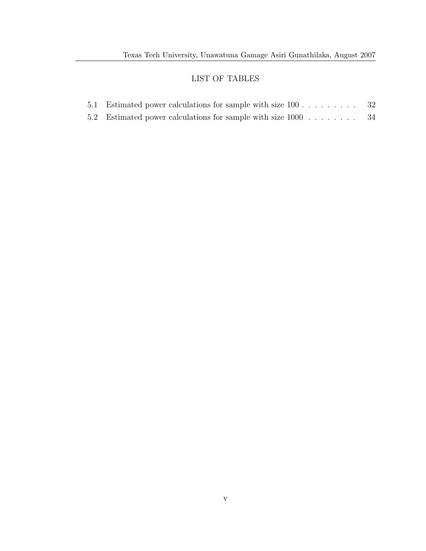# LIST OF TABLES

| 5.1 Estimated power calculations for sample with size $100$ 32 |  |
|----------------------------------------------------------------|--|
| 5.2 Estimated power calculations for sample with size 1000 34  |  |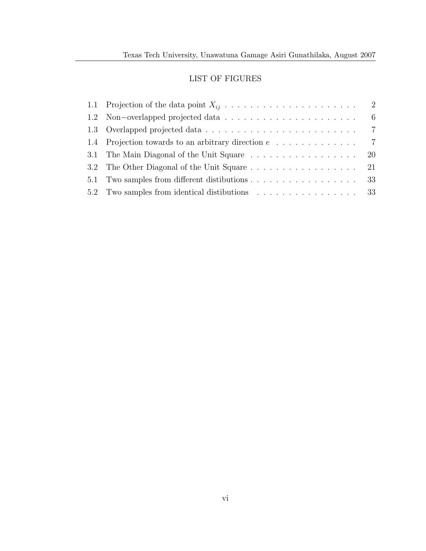# LIST OF FIGURES

| 3.2 The Other Diagonal of the Unit Square 21   |  |
|------------------------------------------------|--|
| 5.1 Two samples from different distibutions 33 |  |
| 5.2 Two samples from identical distibutions 33 |  |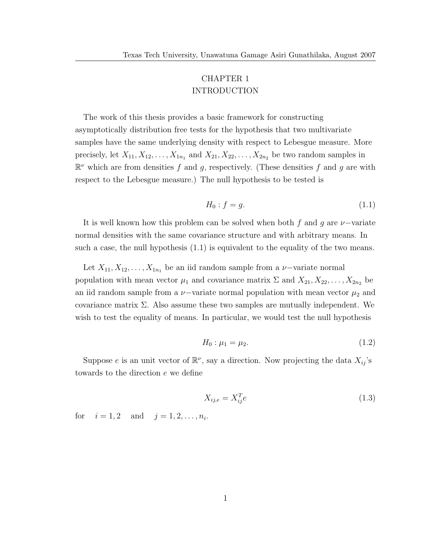## CHAPTER 1 INTRODUCTION

The work of this thesis provides a basic framework for constructing asymptotically distribution free tests for the hypothesis that two multivariate samples have the same underlying density with respect to Lebesgue measure. More precisely, let  $X_{11}, X_{12}, \ldots, X_{1n_1}$  and  $X_{21}, X_{22}, \ldots, X_{2n_2}$  be two random samples in  $\mathbb{R}^{\nu}$  which are from densities f and g, respectively. (These densities f and g are with respect to the Lebesgue measure.) The null hypothesis to be tested is

$$
H_0: f = g. \tag{1.1}
$$

It is well known how this problem can be solved when both f and g are  $\nu$ -variate normal densities with the same covariance structure and with arbitrary means. In such a case, the null hypothesis (1.1) is equivalent to the equality of the two means.

Let  $X_{11}, X_{12}, \ldots, X_{1n_1}$  be an iid random sample from a  $\nu$ -variate normal population with mean vector  $\mu_1$  and covariance matrix  $\Sigma$  and  $X_{21}, X_{22}, \ldots, X_{2n_2}$  be an iid random sample from a  $\nu$ -variate normal population with mean vector  $\mu_2$  and covariance matrix  $\Sigma$ . Also assume these two samples are mutually independent. We wish to test the equality of means. In particular, we would test the null hypothesis

$$
H_0: \mu_1 = \mu_2. \tag{1.2}
$$

Suppose e is an unit vector of  $\mathbb{R}^{\nu}$ , say a direction. Now projecting the data  $X_{ij}$ 's towards to the direction e we define

$$
X_{ij,e} = X_{ij}^T e \tag{1.3}
$$

for  $i = 1, 2$  and  $j = 1, 2, ..., n_i$ .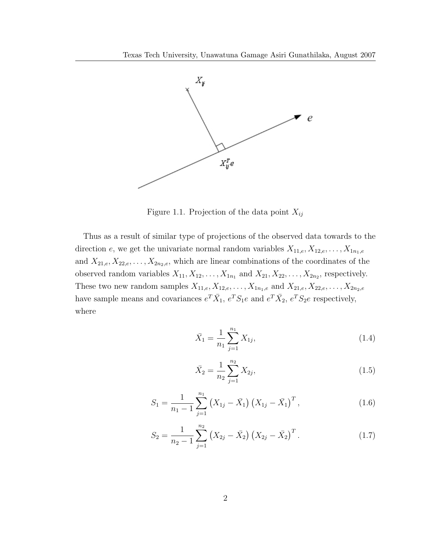

Figure 1.1. Projection of the data point  $X_{ij}$ 

Thus as a result of similar type of projections of the observed data towards to the direction e, we get the univariate normal random variables  $X_{11,e}, X_{12,e}, \ldots, X_{1n_1,e}$ and  $X_{21,e}, X_{22,e}, \ldots, X_{2n_2,e}$ , which are linear combinations of the coordinates of the observed random variables  $X_{11}, X_{12}, \ldots, X_{1n_1}$  and  $X_{21}, X_{22}, \ldots, X_{2n_2}$ , respectively. These two new random samples  $X_{11,e}, X_{12,e}, \ldots, X_{1n_1,e}$  and  $X_{21,e}, X_{22,e}, \ldots, X_{2n_2,e}$ have sample means and covariances  $e^T \bar{X}_1$ ,  $e^T S_1 e$  and  $e^T \bar{X}_2$ ,  $e^T S_2 e$  respectively, where

$$
\bar{X}_1 = \frac{1}{n_1} \sum_{j=1}^{n_1} X_{1j},\tag{1.4}
$$

$$
\bar{X}_2 = \frac{1}{n_2} \sum_{j=1}^{n_2} X_{2j},\tag{1.5}
$$

$$
S_1 = \frac{1}{n_1 - 1} \sum_{j=1}^{n_1} (X_{1j} - \bar{X}_1) (X_{1j} - \bar{X}_1)^T,
$$
\n(1.6)

$$
S_2 = \frac{1}{n_2 - 1} \sum_{j=1}^{n_2} (X_{2j} - \bar{X}_2) (X_{2j} - \bar{X}_2)^T.
$$
 (1.7)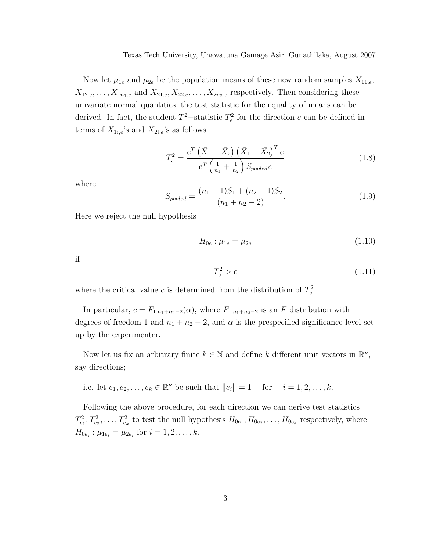Now let  $\mu_{1e}$  and  $\mu_{2e}$  be the population means of these new random samples  $X_{11,e}$ ,  $X_{12,e}, \ldots, X_{1n_1,e}$  and  $X_{21,e}, X_{22,e}, \ldots, X_{2n_2,e}$  respectively. Then considering these univariate normal quantities, the test statistic for the equality of means can be derived. In fact, the student  $T^2$ -statistic  $T_e^2$  for the direction e can be defined in terms of  $X_{1i,e}$ 's and  $X_{2i,e}$ 's as follows.

$$
T_e^2 = \frac{e^T \left(\bar{X}_1 - \bar{X}_2\right) \left(\bar{X}_1 - \bar{X}_2\right)^T e}{e^T \left(\frac{1}{n_1} + \frac{1}{n_2}\right) S_{pooled} e}
$$
(1.8)

where

$$
S_{pooled} = \frac{(n_1 - 1)S_1 + (n_2 - 1)S_2}{(n_1 + n_2 - 2)}.
$$
\n(1.9)

Here we reject the null hypothesis

$$
H_{0e} : \mu_{1e} = \mu_{2e} \tag{1.10}
$$

if

$$
T_e^2 > c \tag{1.11}
$$

where the critical value c is determined from the distribution of  $T_e^2$ .

In particular,  $c = F_{1,n_1+n_2-2}(\alpha)$ , where  $F_{1,n_1+n_2-2}$  is an F distribution with degrees of freedom 1 and  $n_1 + n_2 - 2$ , and  $\alpha$  is the prespecified significance level set up by the experimenter.

Now let us fix an arbitrary finite  $k \in \mathbb{N}$  and define k different unit vectors in  $\mathbb{R}^{\nu}$ , say directions;

i.e. let 
$$
e_1, e_2, \ldots, e_k \in \mathbb{R}^{\nu}
$$
 be such that  $||e_i|| = 1$  for  $i = 1, 2, \ldots, k$ .

Following the above procedure, for each direction we can derive test statistics  $T_{e_1}^2, T_{e_2}^2, \ldots, T_{e_k}^2$  to test the null hypothesis  $H_{0e_1}, H_{0e_2}, \ldots, H_{0e_k}$  respectively, where  $H_{0e_i}$ :  $\mu_{1e_i} = \mu_{2e_i}$  for  $i = 1, 2, ..., k$ .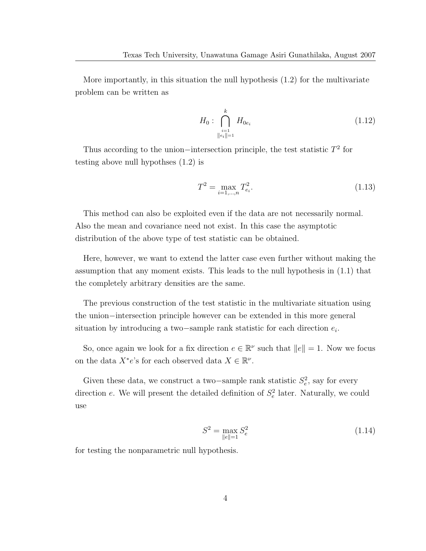More importantly, in this situation the null hypothesis  $(1.2)$  for the multivariate problem can be written as

$$
H_0: \bigcap_{\substack{i=1\\ \|e_i\|=1}}^k H_{0e_i} \tag{1.12}
$$

Thus according to the union–intersection principle, the test statistic  $T^2$  for testing above null hypothses (1.2) is

$$
T^2 = \max_{i=1,\dots,n} T_{e_i}^2.
$$
\n(1.13)

This method can also be exploited even if the data are not necessarily normal. Also the mean and covariance need not exist. In this case the asymptotic distribution of the above type of test statistic can be obtained.

Here, however, we want to extend the latter case even further without making the assumption that any moment exists. This leads to the null hypothesis in (1.1) that the completely arbitrary densities are the same.

The previous construction of the test statistic in the multivariate situation using the union−intersection principle however can be extended in this more general situation by introducing a two–sample rank statistic for each direction  $e_i$ .

So, once again we look for a fix direction  $e \in \mathbb{R}^{\nu}$  such that  $||e|| = 1$ . Now we focus on the data  $X^*e$ 's for each observed data  $X \in \mathbb{R}^{\nu}$ .

Given these data, we construct a two–sample rank statistic  $S_e^2$ , say for every direction e. We will present the detailed definition of  $S_e^2$  later. Naturally, we could use

$$
S^2 = \max_{\|e\|=1} S_e^2 \tag{1.14}
$$

for testing the nonparametric null hypothesis.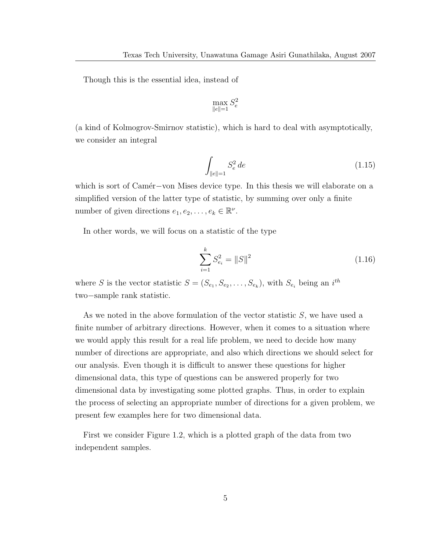Though this is the essential idea, instead of

$$
\max_{\|e\|=1}S_e^2
$$

(a kind of Kolmogrov-Smirnov statistic), which is hard to deal with asymptotically, we consider an integral

$$
\int_{\|e\|=1} S_e^2 \, de \tag{1.15}
$$

which is sort of Camér−von Mises device type. In this thesis we will elaborate on a simplified version of the latter type of statistic, by summing over only a finite number of given directions  $e_1, e_2, \ldots, e_k \in \mathbb{R}^{\nu}$ .

In other words, we will focus on a statistic of the type

$$
\sum_{i=1}^{k} S_{e_i}^2 = ||S||^2 \tag{1.16}
$$

where S is the vector statistic  $S = (S_{e_1}, S_{e_2}, \ldots, S_{e_k})$ , with  $S_{e_i}$  being an  $i^{th}$ two−sample rank statistic.

As we noted in the above formulation of the vector statistic S, we have used a finite number of arbitrary directions. However, when it comes to a situation where we would apply this result for a real life problem, we need to decide how many number of directions are appropriate, and also which directions we should select for our analysis. Even though it is difficult to answer these questions for higher dimensional data, this type of questions can be answered properly for two dimensional data by investigating some plotted graphs. Thus, in order to explain the process of selecting an appropriate number of directions for a given problem, we present few examples here for two dimensional data.

First we consider Figure 1.2, which is a plotted graph of the data from two independent samples.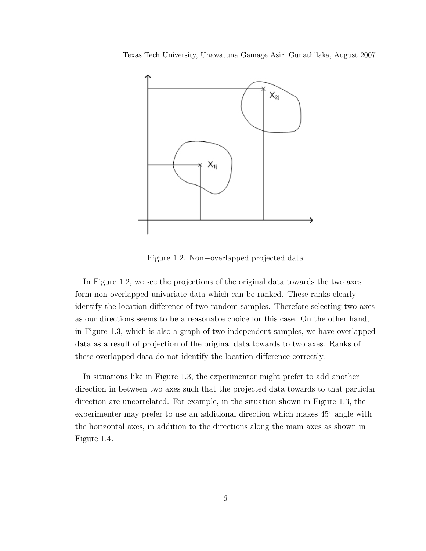

Figure 1.2. Non−overlapped projected data

In Figure 1.2, we see the projections of the original data towards the two axes form non overlapped univariate data which can be ranked. These ranks clearly identify the location difference of two random samples. Therefore selecting two axes as our directions seems to be a reasonable choice for this case. On the other hand, in Figure 1.3, which is also a graph of two independent samples, we have overlapped data as a result of projection of the original data towards to two axes. Ranks of these overlapped data do not identify the location difference correctly.

In situations like in Figure 1.3, the experimentor might prefer to add another direction in between two axes such that the projected data towards to that particlar direction are uncorrelated. For example, in the situation shown in Figure 1.3, the experimenter may prefer to use an additional direction which makes 45◦ angle with the horizontal axes, in addition to the directions along the main axes as shown in Figure 1.4.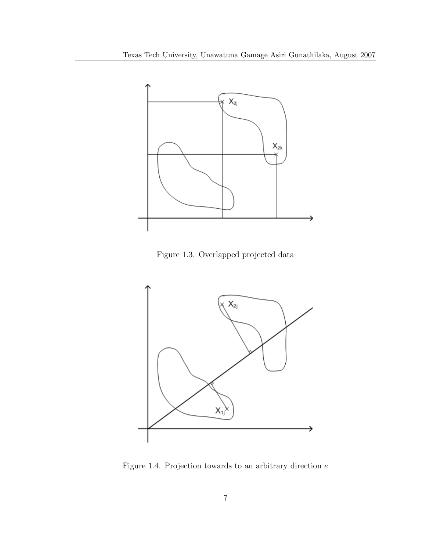

Figure 1.3. Overlapped projected data



Figure 1.4. Projection towards to an arbitrary direction  $\boldsymbol{e}$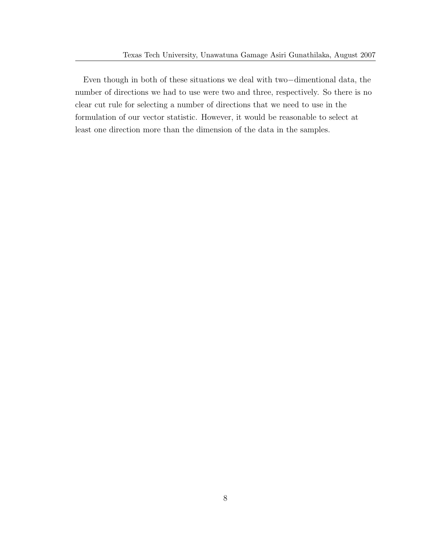Even though in both of these situations we deal with two−dimentional data, the number of directions we had to use were two and three, respectively. So there is no clear cut rule for selecting a number of directions that we need to use in the formulation of our vector statistic. However, it would be reasonable to select at least one direction more than the dimension of the data in the samples.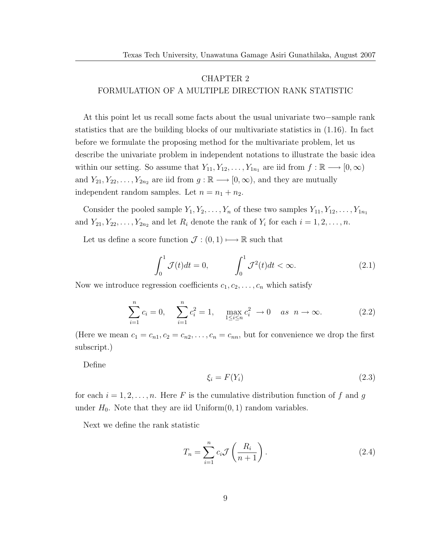## CHAPTER 2 FORMULATION OF A MULTIPLE DIRECTION RANK STATISTIC

At this point let us recall some facts about the usual univariate two−sample rank statistics that are the building blocks of our multivariate statistics in (1.16). In fact before we formulate the proposing method for the multivariate problem, let us describe the univariate problem in independent notations to illustrate the basic idea within our setting. So assume that  $Y_{11}, Y_{12}, \ldots, Y_{1n_1}$  are iid from  $f : \mathbb{R} \longrightarrow [0, \infty)$ and  $Y_{21}, Y_{22}, \ldots, Y_{2n_2}$  are iid from  $g : \mathbb{R} \longrightarrow [0, \infty)$ , and they are mutually independent random samples. Let  $n = n_1 + n_2$ .

Consider the pooled sample  $Y_1, Y_2, \ldots, Y_n$  of these two samples  $Y_{11}, Y_{12}, \ldots, Y_{1n_1}$ and  $Y_{21}, Y_{22}, \ldots, Y_{2n_2}$  and let  $R_i$  denote the rank of  $Y_i$  for each  $i = 1, 2, \ldots, n$ .

Let us define a score function  $\mathcal{J} : (0,1) \longmapsto \mathbb{R}$  such that

$$
\int_0^1 \mathcal{J}(t)dt = 0, \qquad \int_0^1 \mathcal{J}^2(t)dt < \infty.
$$
 (2.1)

Now we introduce regression coefficients  $c_1, c_2, \ldots, c_n$  which satisfy

$$
\sum_{i=1}^{n} c_i = 0, \quad \sum_{i=1}^{n} c_i^2 = 1, \quad \max_{1 \le i \le n} c_i^2 \to 0 \quad as \quad n \to \infty.
$$
 (2.2)

(Here we mean  $c_1 = c_{n1}, c_2 = c_{n2}, \ldots, c_n = c_{nn}$ , but for convenience we drop the first subscript.)

Define

$$
\xi_i = F(Y_i) \tag{2.3}
$$

for each  $i = 1, 2, \ldots, n$ . Here F is the cumulative distribution function of f and g under  $H_0$ . Note that they are iid Uniform $(0, 1)$  random variables.

Next we define the rank statistic

$$
T_n = \sum_{i=1}^n c_i \mathcal{J}\left(\frac{R_i}{n+1}\right). \tag{2.4}
$$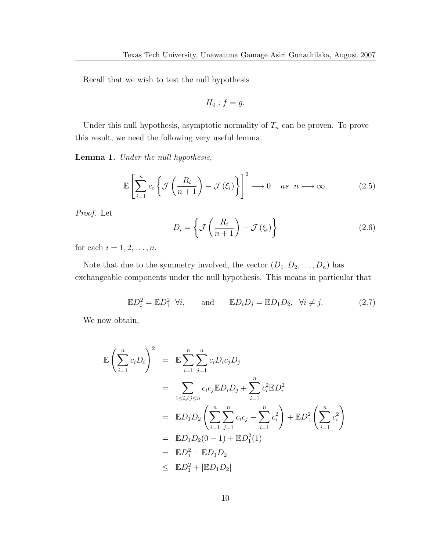Recall that we wish to test the null hypothesis

$$
H_0: f=g.
$$

Under this null hypothesis, asymptotic normality of  $T_n$  can be proven. To prove this result, we need the following very useful lemma.

Lemma 1. Under the null hypothesis,

$$
\mathbb{E}\left[\sum_{i=1}^{n}c_{i}\left\{\mathcal{J}\left(\frac{R_{i}}{n+1}\right)-\mathcal{J}\left(\xi_{i}\right)\right\}\right]^{2}\longrightarrow0 \quad as\ \ n\longrightarrow\infty.
$$
 (2.5)

Proof. Let

$$
D_{i} = \left\{ \mathcal{J} \left( \frac{R_{i}}{n+1} \right) - \mathcal{J} \left( \xi_{i} \right) \right\}
$$
 (2.6)

for each  $i = 1, 2, \ldots, n$ .

Note that due to the symmetry involved, the vector  $(D_1, D_2, \ldots, D_n)$  has exchangeable components under the null hypothesis. This means in particular that

$$
\mathbb{E}D_i^2 = \mathbb{E}D_1^2 \quad \forall i, \qquad \text{and} \qquad \mathbb{E}D_i D_j = \mathbb{E}D_1 D_2, \quad \forall i \neq j. \tag{2.7}
$$

We now obtain,

$$
\mathbb{E}\left(\sum_{i=1}^{n}c_{i}D_{i}\right)^{2} = \mathbb{E}\sum_{i=1}^{n}\sum_{j=1}^{n}c_{i}D_{i}c_{j}D_{j}
$$
\n
$$
= \sum_{1\leq i\neq j\leq n}c_{i}c_{j}\mathbb{E}D_{i}D_{j} + \sum_{i=1}^{n}c_{i}^{2}\mathbb{E}D_{i}^{2}
$$
\n
$$
= \mathbb{E}D_{1}D_{2}\left(\sum_{i=1}^{n}\sum_{j=1}^{n}c_{i}c_{j} - \sum_{i=1}^{n}c_{i}^{2}\right) + \mathbb{E}D_{1}^{2}\left(\sum_{i=1}^{n}c_{i}^{2}\right)
$$
\n
$$
= \mathbb{E}D_{1}D_{2}(0-1) + \mathbb{E}D_{1}^{2}(1)
$$
\n
$$
= \mathbb{E}D_{1}^{2} - \mathbb{E}D_{1}D_{2}
$$
\n
$$
\leq \mathbb{E}D_{1}^{2} + |\mathbb{E}D_{1}D_{2}|
$$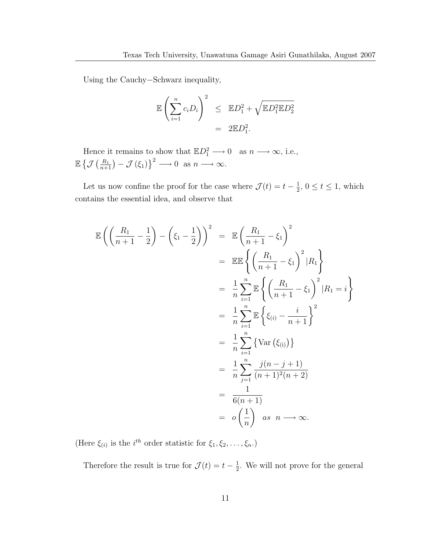Using the Cauchy−Schwarz inequality,

$$
\mathbb{E}\left(\sum_{i=1}^{n}c_{i}D_{i}\right)^{2} \leq \mathbb{E}D_{1}^{2} + \sqrt{\mathbb{E}D_{1}^{2}\mathbb{E}D_{2}^{2}}
$$

$$
= 2\mathbb{E}D_{1}^{2}.
$$

Hence it remains to show that  $\mathbb{E}D_1^2 \longrightarrow 0$  as  $n \longrightarrow \infty$ , i.e.,  $\mathbb{E}\left\{\mathcal{J}\left(\frac{R_1}{n+1}\right)-\mathcal{J}\left(\xi_1\right)\right\}^2\longrightarrow 0 \text{ as } n\longrightarrow\infty.$ 

Let us now confine the proof for the case where  $\mathcal{J}(t) = t - \frac{1}{2}$  $\frac{1}{2}$ ,  $0 \le t \le 1$ , which contains the essential idea, and observe that

$$
\mathbb{E}\left(\left(\frac{R_1}{n+1}-\frac{1}{2}\right)-\left(\xi_1-\frac{1}{2}\right)\right)^2 = \mathbb{E}\left(\frac{R_1}{n+1}-\xi_1\right)^2 |R_1\right\}
$$
  
\n
$$
= \mathbb{E}\mathbb{E}\left\{\left(\frac{R_1}{n+1}-\xi_1\right)^2 |R_1\right\}
$$
  
\n
$$
= \frac{1}{n} \sum_{i=1}^n \mathbb{E}\left\{\left(\frac{R_1}{n+1}-\xi_1\right)^2 |R_1=i\right\}
$$
  
\n
$$
= \frac{1}{n} \sum_{i=1}^n \mathbb{E}\left\{\xi_{(i)}-\frac{i}{n+1}\right\}^2
$$
  
\n
$$
= \frac{1}{n} \sum_{i=1}^n \left\{\text{Var}\left(\xi_{(i)}\right)\right\}
$$
  
\n
$$
= \frac{1}{n} \sum_{j=1}^n \frac{j(n-j+1)}{(n+1)^2(n+2)}
$$
  
\n
$$
= \frac{1}{6(n+1)}
$$
  
\n
$$
= o\left(\frac{1}{n}\right) \text{ as } n \longrightarrow \infty.
$$

(Here  $\xi_{(i)}$  is the *i*<sup>th</sup> order statistic for  $\xi_1, \xi_2, \ldots, \xi_n$ .)

Therefore the result is true for  $\mathcal{J}(t) = t - \frac{1}{2}$  $\frac{1}{2}$ . We will not prove for the general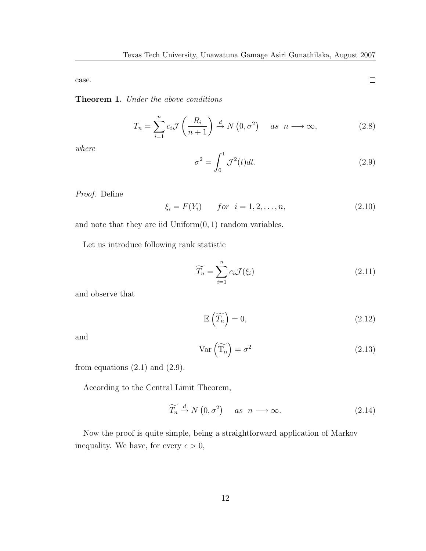case.

Theorem 1. Under the above conditions

$$
T_n = \sum_{i=1}^n c_i \mathcal{J}\left(\frac{R_i}{n+1}\right) \stackrel{d}{\to} N\left(0, \sigma^2\right) \quad \text{as} \ \ n \longrightarrow \infty,\tag{2.8}
$$

where

$$
\sigma^2 = \int_0^1 \mathcal{J}^2(t)dt.
$$
\n(2.9)

 $\Box$ 

Proof. Define

$$
\xi_i = F(Y_i)
$$
 for  $i = 1, 2, ..., n,$  (2.10)

and note that they are iid  $Uniform(0, 1)$  random variables.

Let us introduce following rank statistic

$$
\widetilde{T_n} = \sum_{i=1}^n c_i \mathcal{J}(\xi_i)
$$
\n(2.11)

and observe that

$$
\mathbb{E}\left(\widetilde{T_n}\right) = 0,\tag{2.12}
$$

and

$$
\text{Var}\left(\widetilde{\mathcal{T}_{n}}\right) = \sigma^{2} \tag{2.13}
$$

from equations  $(2.1)$  and  $(2.9)$ .

According to the Central Limit Theorem,

$$
\widetilde{T_n} \xrightarrow{d} N\left(0, \sigma^2\right) \quad \text{as} \ \ n \longrightarrow \infty. \tag{2.14}
$$

Now the proof is quite simple, being a straightforward application of Markov inequality. We have, for every  $\epsilon > 0$ ,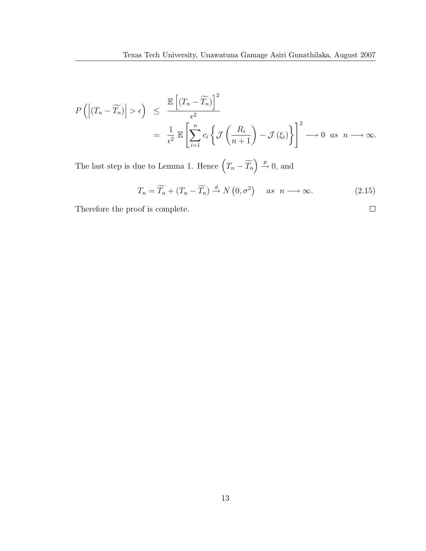$$
P\left(\left|\left(T_n-\widetilde{T}_n\right)\right|>\epsilon\right) \leq \frac{\mathbb{E}\left[\left(T_n-\widetilde{T}_n\right)\right]^2}{\epsilon^2}
$$
  
= 
$$
\frac{1}{\epsilon^2} \mathbb{E}\left[\sum_{i=1}^n c_i \left\{\mathcal{J}\left(\frac{R_i}{n+1}\right)-\mathcal{J}\left(\xi_i\right)\right\}\right]^2 \longrightarrow 0 \text{ as } n \longrightarrow \infty.
$$

The last step is due to Lemma 1. Hence  $(T_n - \widetilde{T_n}) \stackrel{p}{\rightarrow} 0$ , and

$$
T_n = \widetilde{T_n} + (T_n - \widetilde{T_n}) \xrightarrow{d} N(0, \sigma^2) \quad \text{as } n \longrightarrow \infty. \tag{2.15}
$$

Therefore the proof is complete.

 $\Box$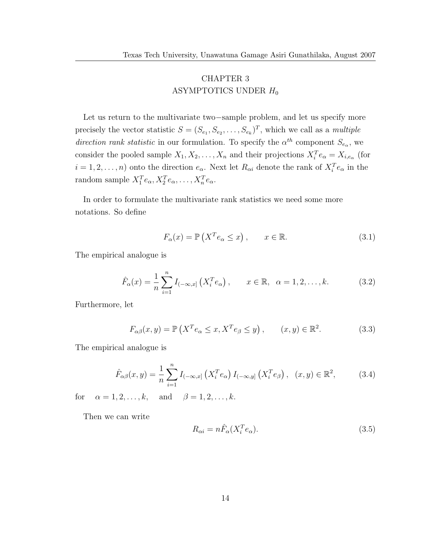## CHAPTER 3 ASYMPTOTICS UNDER  $H_0$

Let us return to the multivariate two−sample problem, and let us specify more precisely the vector statistic  $S = (S_{e_1}, S_{e_2}, \ldots, S_{e_k})^T$ , which we call as a *multiple* direction rank statistic in our formulation. To specify the  $\alpha^{th}$  component  $S_{e_{\alpha}}$ , we consider the pooled sample  $X_1, X_2, \ldots, X_n$  and their projections  $X_i^T e_\alpha = X_{i,e_\alpha}$  (for  $i = 1, 2, \ldots, n$  onto the direction  $e_{\alpha}$ . Next let  $R_{\alpha i}$  denote the rank of  $X_i^T e_{\alpha}$  in the random sample  $X_1^T e_\alpha, X_2^T e_\alpha, \dots, X_n^T e_\alpha$ .

In order to formulate the multivariate rank statistics we need some more notations. So define

$$
F_{\alpha}(x) = \mathbb{P}\left(X^T e_{\alpha} \le x\right), \qquad x \in \mathbb{R}.\tag{3.1}
$$

The empirical analogue is

$$
\hat{F}_{\alpha}(x) = \frac{1}{n} \sum_{i=1}^{n} I_{(-\infty, x]} \left( X_i^T e_{\alpha} \right), \qquad x \in \mathbb{R}, \ \alpha = 1, 2, \dots, k. \tag{3.2}
$$

Furthermore, let

$$
F_{\alpha\beta}(x,y) = \mathbb{P}\left(X^T e_\alpha \le x, X^T e_\beta \le y\right), \qquad (x,y) \in \mathbb{R}^2. \tag{3.3}
$$

The empirical analogue is

$$
\hat{F}_{\alpha\beta}(x,y) = \frac{1}{n} \sum_{i=1}^{n} I_{(-\infty,x]} \left( X_i^T e_{\alpha} \right) I_{(-\infty,y]} \left( X_i^T e_{\beta} \right), \quad (x,y) \in \mathbb{R}^2,
$$
\n(3.4)

for  $\alpha = 1, 2, \ldots, k$ , and  $\beta = 1, 2, \ldots, k$ .

Then we can write

$$
R_{\alpha i} = n \hat{F}_{\alpha} (X_i^T e_{\alpha}). \tag{3.5}
$$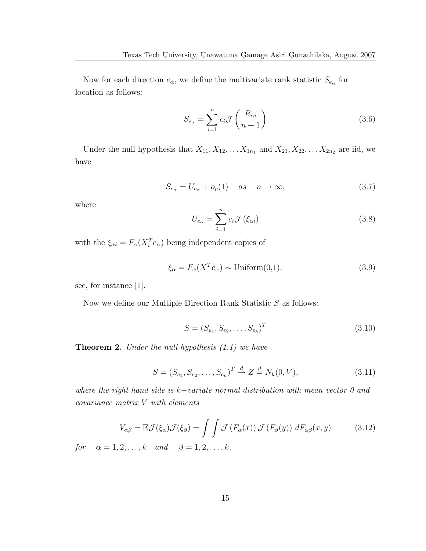Now for each direction  $e_{\alpha}$ , we define the multivariate rank statistic  $S_{e_{\alpha}}$  for location as follows:

$$
S_{e_{\alpha}} = \sum_{i=1}^{n} c_i \mathcal{J}\left(\frac{R_{\alpha i}}{n+1}\right) \tag{3.6}
$$

Under the null hypothesis that  $X_{11}, X_{12}, \ldots X_{1n_1}$  and  $X_{21}, X_{22}, \ldots X_{2n_2}$  are iid, we have

$$
S_{e_{\alpha}} = U_{e_{\alpha}} + o_p(1) \quad \text{as} \quad n \to \infty,
$$
\n(3.7)

where

$$
U_{e_{\alpha}} = \sum_{i=1}^{n} c_i \mathcal{J}(\xi_{\alpha i})
$$
\n(3.8)

with the  $\xi_{\alpha i} = F_{\alpha}(X_i^T e_{\alpha})$  being independent copies of

$$
\xi_{\alpha} = F_{\alpha}(X^T e_{\alpha}) \sim \text{Uniform}(0,1). \tag{3.9}
$$

see, for instance [1].

Now we define our Multiple Direction Rank Statistic S as follows:

$$
S = (S_{e_1}, S_{e_2}, \dots, S_{e_k})^T
$$
\n(3.10)

**Theorem 2.** Under the null hypothesis  $(1.1)$  we have

$$
S = (S_{e_1}, S_{e_2}, \dots, S_{e_k})^T \stackrel{d}{\to} Z \stackrel{d}{=} N_k(0, V),
$$
\n(3.11)

where the right hand side is k−variate normal distribution with mean vector 0 and covariance matrix V with elements

$$
V_{\alpha\beta} = \mathbb{E}\mathcal{J}(\xi_{\alpha})\mathcal{J}(\xi_{\beta}) = \int \int \mathcal{J}\left(F_{\alpha}(x)\right)\mathcal{J}\left(F_{\beta}(y)\right) dF_{\alpha\beta}(x,y) \tag{3.12}
$$

for  $\alpha = 1, 2, \ldots, k$  and  $\beta = 1, 2, \ldots, k$ .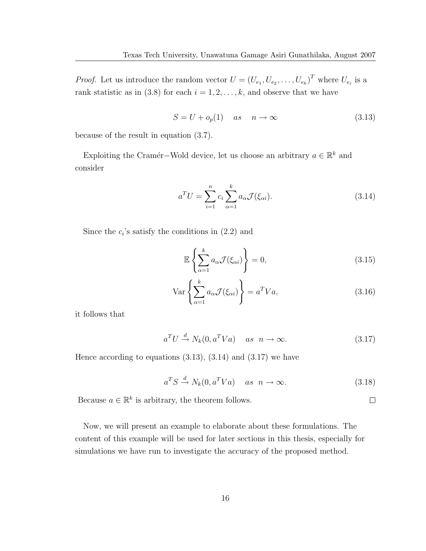*Proof.* Let us introduce the random vector  $U = (U_{e_1}, U_{e_2}, \dots, U_{e_k})^T$  where  $U_{e_i}$  is a rank statistic as in (3.8) for each  $i = 1, 2, \ldots, k$ , and observe that we have

$$
S = U + o_p(1) \quad as \quad n \to \infty \tag{3.13}
$$

because of the result in equation (3.7).

Exploiting the Cramér–Wold device, let us choose an arbitrary  $a \in \mathbb{R}^k$  and consider

$$
a^T U = \sum_{i=1}^n c_i \sum_{\alpha=1}^k a_\alpha \mathcal{J}(\xi_{\alpha i}).
$$
\n(3.14)

Since the  $c_i$ 's satisfy the conditions in  $(2.2)$  and

$$
\mathbb{E}\left\{\sum_{\alpha=1}^{k} a_{\alpha} \mathcal{J}(\xi_{\alpha i})\right\} = 0, \tag{3.15}
$$

$$
\operatorname{Var}\left\{\sum_{\alpha=1}^{k} a_{\alpha} \mathcal{J}(\xi_{\alpha i})\right\} = a^T V a,\tag{3.16}
$$

it follows that

$$
a^T U \stackrel{d}{\to} N_k(0, a^T V a) \quad as \ \ n \to \infty. \tag{3.17}
$$

Hence according to equations  $(3.13)$ ,  $(3.14)$  and  $(3.17)$  we have

$$
a^T S \xrightarrow{d} N_k(0, a^T V a) \quad as \quad n \to \infty. \tag{3.18}
$$

 $\Box$ 

Because  $a \in \mathbb{R}^k$  is arbitrary, the theorem follows.

Now, we will present an example to elaborate about these formulations. The content of this example will be used for later sections in this thesis, especially for simulations we have run to investigate the accuracy of the proposed method.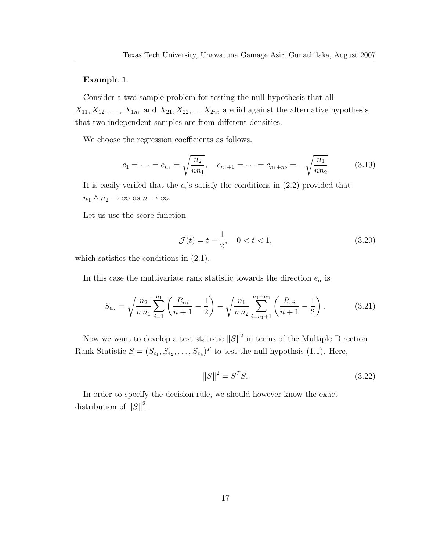#### Example 1.

Consider a two sample problem for testing the null hypothesis that all  $X_{11}, X_{12}, \ldots, X_{1n_1}$  and  $X_{21}, X_{22}, \ldots, X_{2n_2}$  are iid against the alternative hypothesis that two independent samples are from different densities.

We choose the regression coefficients as follows.

$$
c_1 = \dots = c_{n_1} = \sqrt{\frac{n_2}{n n_1}}, \quad c_{n_1+1} = \dots = c_{n_1+n_2} = -\sqrt{\frac{n_1}{n n_2}} \tag{3.19}
$$

It is easily verifed that the  $c_i$ 's satisfy the conditions in  $(2.2)$  provided that  $n_1 \wedge n_2 \rightarrow \infty$  as  $n \rightarrow \infty$ .

Let us use the score function

$$
\mathcal{J}(t) = t - \frac{1}{2}, \quad 0 < t < 1,\tag{3.20}
$$

which satisfies the conditions in  $(2.1)$ .

In this case the multivariate rank statistic towards the direction  $e_{\alpha}$  is

$$
S_{e_{\alpha}} = \sqrt{\frac{n_2}{n n_1}} \sum_{i=1}^{n_1} \left( \frac{R_{\alpha i}}{n+1} - \frac{1}{2} \right) - \sqrt{\frac{n_1}{n n_2}} \sum_{i=n_1+1}^{n_1+n_2} \left( \frac{R_{\alpha i}}{n+1} - \frac{1}{2} \right). \tag{3.21}
$$

Now we want to develop a test statistic  $||S||^2$  in terms of the Multiple Direction Rank Statistic  $S = (S_{e_1}, S_{e_2}, \dots, S_{e_k})^T$  to test the null hypothsis (1.1). Here,

$$
||S||^2 = S^T S.
$$
 (3.22)

In order to specify the decision rule, we should however know the exact distribution of  $||S||^2$ .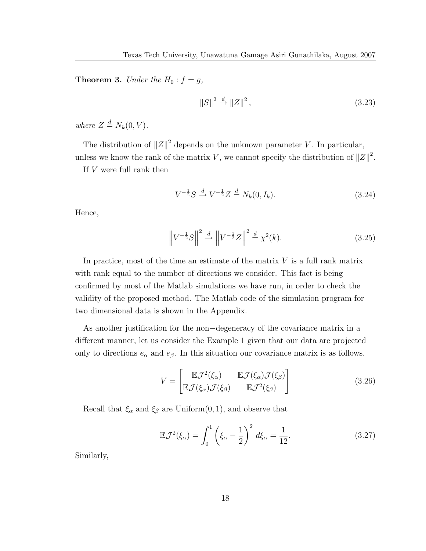**Theorem 3.** Under the  $H_0: f = g$ ,

$$
||S||^2 \stackrel{d}{\rightarrow} ||Z||^2, \tag{3.23}
$$

where  $Z \stackrel{d}{=} N_k(0, V)$ .

The distribution of  $||Z||^2$  depends on the unknown parameter V. In particular,

unless we know the rank of the matrix V, we cannot specify the distribution of  $||Z||^2$ . If V were full rank then

$$
V^{-\frac{1}{2}}S \xrightarrow{d} V^{-\frac{1}{2}}Z \xrightarrow{d} N_k(0, I_k). \tag{3.24}
$$

Hence,

$$
\left\|V^{-\frac{1}{2}}S\right\|^2 \xrightarrow{d} \left\|V^{-\frac{1}{2}}Z\right\|^2 \xrightarrow{d} \chi^2(k). \tag{3.25}
$$

In practice, most of the time an estimate of the matrix  $V$  is a full rank matrix with rank equal to the number of directions we consider. This fact is being confirmed by most of the Matlab simulations we have run, in order to check the validity of the proposed method. The Matlab code of the simulation program for two dimensional data is shown in the Appendix.

As another justification for the non−degeneracy of the covariance matrix in a different manner, let us consider the Example 1 given that our data are projected only to directions  $e_{\alpha}$  and  $e_{\beta}$ . In this situation our covariance matrix is as follows.

$$
V = \begin{bmatrix} \mathbb{E}\mathcal{J}^2(\xi_\alpha) & \mathbb{E}\mathcal{J}(\xi_\alpha)\mathcal{J}(\xi_\beta) \\ \mathbb{E}\mathcal{J}(\xi_\alpha)\mathcal{J}(\xi_\beta) & \mathbb{E}\mathcal{J}^2(\xi_\beta) \end{bmatrix}
$$
(3.26)

Recall that  $\xi_{\alpha}$  and  $\xi_{\beta}$  are Uniform(0, 1), and observe that

$$
\mathbb{E}\mathcal{J}^2(\xi_\alpha) = \int_0^1 \left(\xi_\alpha - \frac{1}{2}\right)^2 d\xi_\alpha = \frac{1}{12}.\tag{3.27}
$$

Similarly,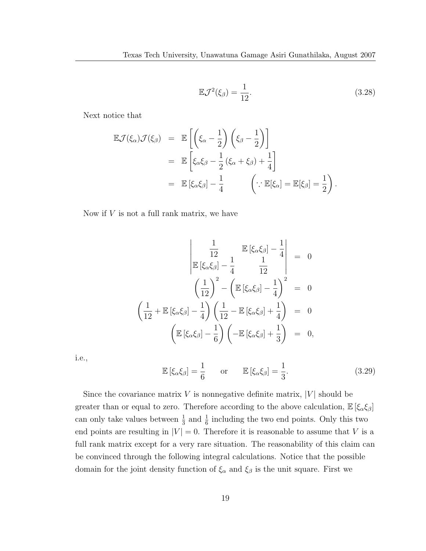$$
\mathbb{E}\mathcal{J}^2(\xi_\beta) = \frac{1}{12}.\tag{3.28}
$$

Next notice that

$$
\mathbb{E}\mathcal{J}(\xi_{\alpha})\mathcal{J}(\xi_{\beta}) = \mathbb{E}\left[\left(\xi_{\alpha} - \frac{1}{2}\right)\left(\xi_{\beta} - \frac{1}{2}\right)\right]
$$
  
\n
$$
= \mathbb{E}\left[\xi_{\alpha}\xi_{\beta} - \frac{1}{2}\left(\xi_{\alpha} + \xi_{\beta}\right) + \frac{1}{4}\right]
$$
  
\n
$$
= \mathbb{E}\left[\xi_{\alpha}\xi_{\beta}\right] - \frac{1}{4} \qquad \left(\because \mathbb{E}[\xi_{\alpha}] = \mathbb{E}[\xi_{\beta}] = \frac{1}{2}\right).
$$

Now if  $V$  is not a full rank matrix, we have

$$
\begin{vmatrix}\n\frac{1}{12} & \mathbb{E} \left[ \xi_{\alpha} \xi_{\beta} \right] - \frac{1}{4} \\
\mathbb{E} \left[ \xi_{\alpha} \xi_{\beta} \right] - \frac{1}{4} & \frac{1}{12}\n\end{vmatrix} = 0
$$
\n
$$
\left( \frac{1}{12} \right)^2 - \left( \mathbb{E} \left[ \xi_{\alpha} \xi_{\beta} \right] - \frac{1}{4} \right)^2 = 0
$$
\n
$$
\left( \frac{1}{12} + \mathbb{E} \left[ \xi_{\alpha} \xi_{\beta} \right] - \frac{1}{4} \right) \left( \frac{1}{12} - \mathbb{E} \left[ \xi_{\alpha} \xi_{\beta} \right] + \frac{1}{4} \right) = 0
$$
\n
$$
\left( \mathbb{E} \left[ \xi_{\alpha} \xi_{\beta} \right] - \frac{1}{6} \right) \left( - \mathbb{E} \left[ \xi_{\alpha} \xi_{\beta} \right] + \frac{1}{3} \right) = 0,
$$

i.e.,

$$
\mathbb{E}\left[\xi_{\alpha}\xi_{\beta}\right] = \frac{1}{6} \quad \text{or} \quad \mathbb{E}\left[\xi_{\alpha}\xi_{\beta}\right] = \frac{1}{3}.
$$
 (3.29)

Since the covariance matrix V is nonnegative definite matrix,  $|V|$  should be greater than or equal to zero. Therefore according to the above calculation,  $\mathbb{E}[\xi_\alpha \xi_\beta]$ can only take values between  $\frac{1}{3}$  and  $\frac{1}{6}$  including the two end points. Only this two end points are resulting in  $|V| = 0$ . Therefore it is reasonable to assume that V is a full rank matrix except for a very rare situation. The reasonability of this claim can be convinced through the following integral calculations. Notice that the possible domain for the joint density function of  $\xi_{\alpha}$  and  $\xi_{\beta}$  is the unit square. First we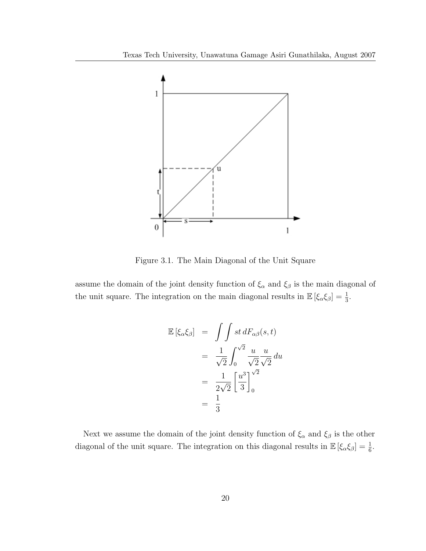

Figure 3.1. The Main Diagonal of the Unit Square

assume the domain of the joint density function of  $\xi_{\alpha}$  and  $\xi_{\beta}$  is the main diagonal of the unit square. The integration on the main diagonal results in  $\mathbb{E}[\xi_\alpha \xi_\beta] = \frac{1}{3}$ .

$$
\mathbb{E} [\xi_{\alpha} \xi_{\beta}] = \int \int st \, dF_{\alpha\beta}(s, t)
$$
  
= 
$$
\frac{1}{\sqrt{2}} \int_0^{\sqrt{2}} \frac{u}{\sqrt{2}} \frac{u}{\sqrt{2}} du
$$
  
= 
$$
\frac{1}{2\sqrt{2}} \left[ \frac{u^3}{3} \right]_0^{\sqrt{2}} = \frac{1}{3}
$$

Next we assume the domain of the joint density function of  $\xi_{\alpha}$  and  $\xi_{\beta}$  is the other diagonal of the unit square. The integration on this diagonal results in  $\mathbb{E}[\xi_\alpha \xi_\beta] = \frac{1}{6}$ .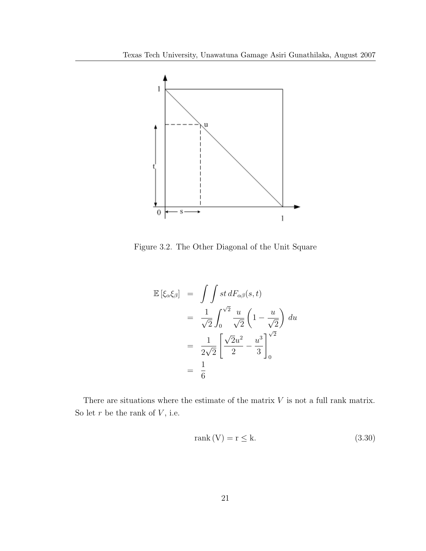

Figure 3.2. The Other Diagonal of the Unit Square

$$
\mathbb{E}\left[\xi_{\alpha}\xi_{\beta}\right] = \int \int st \, dF_{\alpha\beta}(s,t)
$$
  
= 
$$
\frac{1}{\sqrt{2}} \int_0^{\sqrt{2}} \frac{u}{\sqrt{2}} \left(1 - \frac{u}{\sqrt{2}}\right) du
$$
  
= 
$$
\frac{1}{2\sqrt{2}} \left[\frac{\sqrt{2}u^2}{2} - \frac{u^3}{3}\right]_0^{\sqrt{2}}
$$
  
= 
$$
\frac{1}{6}
$$

There are situations where the estimate of the matrix  $V$  is not a full rank matrix. So let  $r$  be the rank of  $V$ , i.e.

$$
rank(V) = r \le k. \tag{3.30}
$$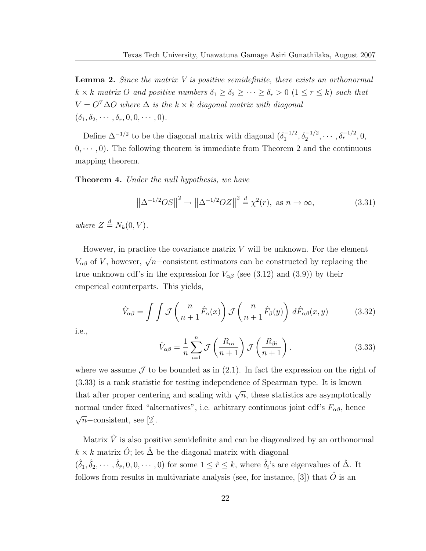**Lemma 2.** Since the matrix V is positive semidefinite, there exists an orthonormal  $k \times k$  matrix O and positive numbers  $\delta_1 \geq \delta_2 \geq \cdots \geq \delta_r > 0$   $(1 \leq r \leq k)$  such that  $V = O<sup>T</sup> \Delta O$  where  $\Delta$  is the  $k \times k$  diagonal matrix with diagonal  $(\delta_1, \delta_2, \cdots, \delta_r, 0, 0, \cdots, 0).$ 

Define  $\Delta^{-1/2}$  to be the diagonal matrix with diagonal  $(\delta_1^{-1/2})$  $\delta_1^{-1/2}, \delta_2^{-1/2}, \cdots, \delta_r^{-1/2}, 0,$  $(0, \dots, 0)$ . The following theorem is immediate from Theorem 2 and the continuous mapping theorem.

**Theorem 4.** Under the null hypothesis, we have

$$
\left\|\Delta^{-1/2}OS\right\|^2 \to \left\|\Delta^{-1/2}OS\right\|^2 \stackrel{d}{=} \chi^2(r), \text{ as } n \to \infty,
$$
\n(3.31)

where  $Z \stackrel{d}{=} N_k(0, V)$ .

However, in practice the covariance matrix  $V$  will be unknown. For the element  $V_{\alpha\beta}$  of V, however,  $\sqrt{n}$ –consistent estimators can be constructed by replacing the true unknown cdf's in the expression for  $V_{\alpha\beta}$  (see (3.12) and (3.9)) by their emperical counterparts. This yields,

$$
\hat{V}_{\alpha\beta} = \int \int \mathcal{J}\left(\frac{n}{n+1}\hat{F}_{\alpha}(x)\right) \mathcal{J}\left(\frac{n}{n+1}\hat{F}_{\beta}(y)\right) d\hat{F}_{\alpha\beta}(x,y) \tag{3.32}
$$

i.e.,

$$
\hat{V}_{\alpha\beta} = \frac{1}{n} \sum_{i=1}^{n} \mathcal{J}\left(\frac{R_{\alpha i}}{n+1}\right) \mathcal{J}\left(\frac{R_{\beta i}}{n+1}\right). \tag{3.33}
$$

where we assume  $\mathcal J$  to be bounded as in (2.1). In fact the expression on the right of (3.33) is a rank statistic for testing independence of Spearman type. It is known that after proper centering and scaling with  $\sqrt{n}$ , these statistics are asymptotically normal under fixed "alternatives", i.e. arbitrary continuous joint cdf's  $F_{\alpha\beta}$ , hence √  $\overline{n}$ –consistent, see [2].

Matrix  $\hat{V}$  is also positive semidefinite and can be diagonalized by an orthonormal  $k \times k$  matrix  $\hat{O}$ ; let  $\hat{\Delta}$  be the diagonal matrix with diagonal  $(\hat{\delta}_1, \hat{\delta}_2, \cdots, \hat{\delta}_r, 0, 0, \cdots, 0)$  for some  $1 \leq \hat{r} \leq k$ , where  $\hat{\delta}_i$ 's are eigenvalues of  $\hat{\Delta}$ . It follows from results in multivariate analysis (see, for instance, [3]) that  $\hat{O}$  is an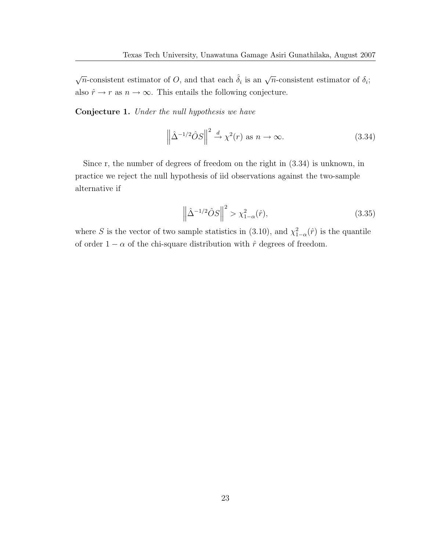$\sqrt{n}$ -consistent estimator of O, and that each  $\hat{\delta}_i$  is an  $\sqrt{n}$ -consistent estimator of  $\delta_i$ ; also  $\hat{r} \to r$  as  $n \to \infty$ . This entails the following conjecture.

Conjecture 1. Under the null hypothesis we have

$$
\left\|\hat{\Delta}^{-1/2}\hat{O}S\right\|^2 \stackrel{d}{\rightarrow} \chi^2(r) \text{ as } n \to \infty. \tag{3.34}
$$

Since r, the number of degrees of freedom on the right in (3.34) is unknown, in practice we reject the null hypothesis of iid observations against the two-sample alternative if

$$
\left\| \hat{\Delta}^{-1/2} \hat{O} S \right\|^2 > \chi^2_{1-\alpha}(\hat{r}),\tag{3.35}
$$

where S is the vector of two sample statistics in (3.10), and  $\chi^2_{1-\alpha}(\hat{r})$  is the quantile of order  $1 - \alpha$  of the chi-square distribution with  $\hat{r}$  degrees of freedom.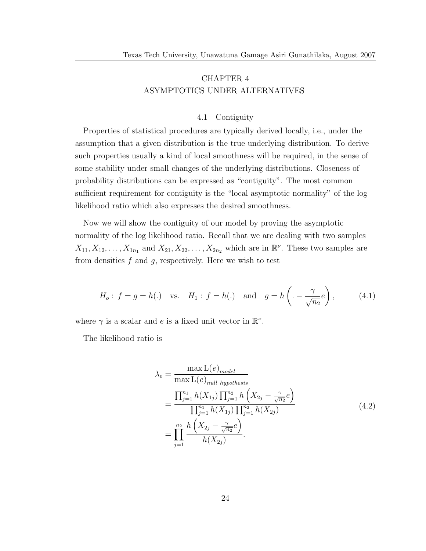## CHAPTER 4 ASYMPTOTICS UNDER ALTERNATIVES

#### 4.1 Contiguity

Properties of statistical procedures are typically derived locally, i.e., under the assumption that a given distribution is the true underlying distribution. To derive such properties usually a kind of local smoothness will be required, in the sense of some stability under small changes of the underlying distributions. Closeness of probability distributions can be expressed as "contiguity". The most common sufficient requirement for contiguity is the "local asymptotic normality" of the log likelihood ratio which also expresses the desired smoothness.

Now we will show the contiguity of our model by proving the asymptotic normality of the log likelihood ratio. Recall that we are dealing with two samples  $X_{11}, X_{12}, \ldots, X_{1n_1}$  and  $X_{21}, X_{22}, \ldots, X_{2n_2}$  which are in  $\mathbb{R}^{\nu}$ . These two samples are from densities  $f$  and  $g$ , respectively. Here we wish to test

$$
H_o: f = g = h(.)
$$
 vs.  $H_1: f = h(.)$  and  $g = h\left(-\frac{\gamma}{\sqrt{n_2}}e\right)$ , (4.1)

where  $\gamma$  is a scalar and e is a fixed unit vector in  $\mathbb{R}^{\nu}$ .

The likelihood ratio is

$$
\lambda_e = \frac{\max L(e)_{model}}{\max L(e)_{null\ hypothesis}} \n= \frac{\prod_{j=1}^{n_1} h(X_{1j}) \prod_{j=1}^{n_2} h(X_{2j} - \frac{\gamma}{\sqrt{n_2}} e)}{\prod_{j=1}^{n_1} h(X_{1j}) \prod_{j=1}^{n_2} h(X_{2j})} \n= \prod_{j=1}^{n_2} \frac{h(X_{2j} - \frac{\gamma}{\sqrt{n_2}} e)}{h(X_{2j})}.
$$
\n(4.2)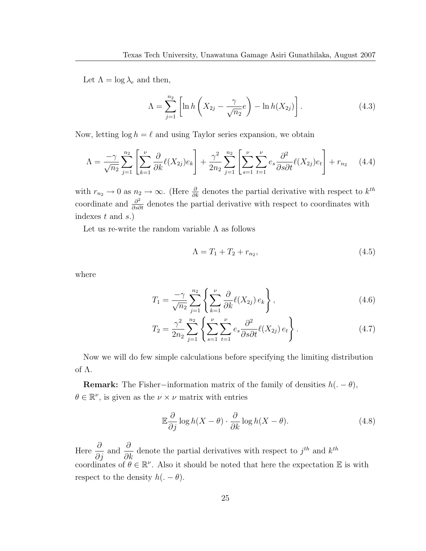Let  $\Lambda = \log \lambda_e$  and then,

$$
\Lambda = \sum_{j=1}^{n_2} \left[ \ln h \left( X_{2j} - \frac{\gamma}{\sqrt{n_2}} e \right) - \ln h(X_{2j}) \right].
$$
 (4.3)

Now, letting  $\log h = \ell$  and using Taylor series expansion, we obtain

$$
\Lambda = \frac{-\gamma}{\sqrt{n_2}} \sum_{j=1}^{n_2} \left[ \sum_{k=1}^{\nu} \frac{\partial}{\partial k} \ell(X_{2j}) e_k \right] + \frac{\gamma^2}{2n_2} \sum_{j=1}^{n_2} \left[ \sum_{s=1}^{\nu} \sum_{t=1}^{\nu} e_s \frac{\partial^2}{\partial s \partial t} \ell(X_{2j}) e_t \right] + r_{n_2} \tag{4.4}
$$

with  $r_{n_2} \to 0$  as  $n_2 \to \infty$ . (Here  $\frac{\partial}{\partial k}$  denotes the partial derivative with respect to  $k^{th}$ coordinate and  $\frac{\partial^2}{\partial s \partial t}$  denotes the partial derivative with respect to coordinates with indexes  $t$  and  $s$ .)

Let us re-write the random variable  $\Lambda$  as follows

$$
\Lambda = T_1 + T_2 + r_{n_2},\tag{4.5}
$$

where

$$
T_1 = \frac{-\gamma}{\sqrt{n_2}} \sum_{j=1}^{n_2} \left\{ \sum_{k=1}^{\nu} \frac{\partial}{\partial k} \ell(X_{2j}) e_k \right\},\tag{4.6}
$$

$$
T_2 = \frac{\gamma^2}{2n_2} \sum_{j=1}^{n_2} \left\{ \sum_{s=1}^{\nu} \sum_{t=1}^{\nu} e_s \frac{\partial^2}{\partial s \partial t} \ell(X_{2j}) e_t \right\}.
$$
 (4.7)

Now we will do few simple calculations before specifying the limiting distribution of Λ.

**Remark:** The Fisher–information matrix of the family of densities  $h(. - \theta)$ ,  $\theta \in \mathbb{R}^{\nu}$ , is given as the  $\nu \times \nu$  matrix with entries

$$
\mathbb{E}\frac{\partial}{\partial j}\log h(X-\theta)\cdot\frac{\partial}{\partial k}\log h(X-\theta). \tag{4.8}
$$

Here  $\frac{\partial}{\partial j}$  and  $\frac{\partial}{\partial k}$  denote the partial derivatives with respect to  $j^{th}$  and  $k^{th}$ coordinates of  $\theta \in \mathbb{R}^{\nu}$ . Also it should be noted that here the expectation E is with respect to the density  $h(. - \theta)$ .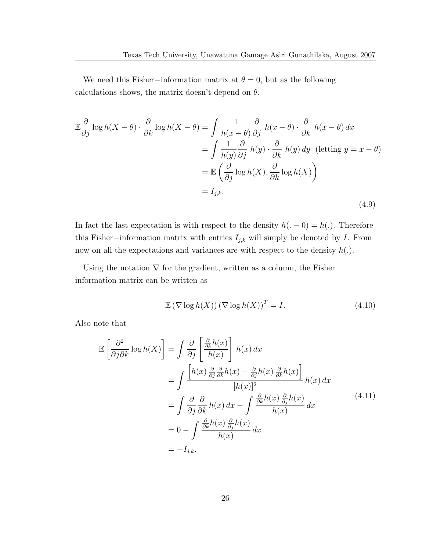We need this Fisher–information matrix at  $\theta = 0$ , but as the following calculations shows, the matrix doesn't depend on  $\theta$ .

$$
\mathbb{E}\frac{\partial}{\partial j}\log h(X-\theta)\cdot\frac{\partial}{\partial k}\log h(X-\theta) = \int \frac{1}{h(x-\theta)}\frac{\partial}{\partial j}h(x-\theta)\cdot\frac{\partial}{\partial k}h(x-\theta)dx
$$

$$
= \int \frac{1}{h(y)}\frac{\partial}{\partial j}h(y)\cdot\frac{\partial}{\partial k}h(y)dy \text{ (letting } y = x - \theta)
$$

$$
= \mathbb{E}\left(\frac{\partial}{\partial j}\log h(X), \frac{\partial}{\partial k}\log h(X)\right)
$$

$$
= I_{j,k}.
$$
(4.9)

In fact the last expectation is with respect to the density  $h(.-0) = h(.)$ . Therefore this Fisher–information matrix with entries  $I_{j,k}$  will simply be denoted by I. From now on all the expectations and variances are with respect to the density  $h(.)$ .

Using the notation  $\nabla$  for the gradient, written as a column, the Fisher information matrix can be written as

$$
\mathbb{E}(\nabla \log h(X))(\nabla \log h(X))^T = I.
$$
\n(4.10)

Also note that

$$
\mathbb{E}\left[\frac{\partial^2}{\partial j \partial k} \log h(X)\right] = \int \frac{\partial}{\partial j} \left[\frac{\frac{\partial}{\partial k} h(x)}{h(x)}\right] h(x) dx
$$
  
\n
$$
= \int \frac{\left[h(x)\frac{\partial}{\partial j}\frac{\partial}{\partial k} h(x) - \frac{\partial}{\partial j} h(x)\frac{\partial}{\partial k} h(x)\right]}{[h(x)]^2} h(x) dx
$$
  
\n
$$
= \int \frac{\partial}{\partial j} \frac{\partial}{\partial k} h(x) dx - \int \frac{\frac{\partial}{\partial k} h(x)\frac{\partial}{\partial j} h(x)}{h(x)} dx
$$
  
\n
$$
= 0 - \int \frac{\frac{\partial}{\partial k} h(x)\frac{\partial}{\partial j} h(x)}{h(x)} dx
$$
  
\n
$$
= -I_{j,k}.
$$
 (4.11)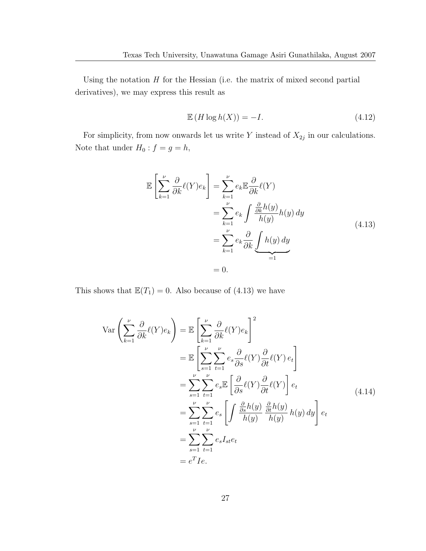Using the notation  $H$  for the Hessian (i.e. the matrix of mixed second partial derivatives), we may express this result as

$$
\mathbb{E}\left(H\log h(X)\right) = -I.\tag{4.12}
$$

For simplicity, from now onwards let us write Y instead of  $X_{2j}$  in our calculations. Note that under  $H_0: f = g = h$ ,

$$
\mathbb{E}\left[\sum_{k=1}^{\nu} \frac{\partial}{\partial k} \ell(Y) e_k\right] = \sum_{k=1}^{\nu} e_k \mathbb{E} \frac{\partial}{\partial k} \ell(Y)
$$

$$
= \sum_{k=1}^{\nu} e_k \int \frac{\frac{\partial}{\partial k} h(y)}{h(y)} h(y) dy
$$

$$
= \sum_{k=1}^{\nu} e_k \frac{\partial}{\partial k} \underbrace{\int h(y) dy}_{=1}
$$
(4.13)
$$
= 0.
$$

This shows that  $\mathbb{E}(T_1) = 0$ . Also because of (4.13) we have

$$
\operatorname{Var}\left(\sum_{k=1}^{\nu} \frac{\partial}{\partial k} \ell(Y) e_k\right) = \mathbb{E}\left[\sum_{k=1}^{\nu} \frac{\partial}{\partial k} \ell(Y) e_k\right]^2
$$
  
\n
$$
= \mathbb{E}\left[\sum_{s=1}^{\nu} \sum_{t=1}^{\nu} e_s \frac{\partial}{\partial s} \ell(Y) \frac{\partial}{\partial t} \ell(Y) e_t\right]
$$
  
\n
$$
= \sum_{s=1}^{\nu} \sum_{t=1}^{\nu} e_s \mathbb{E}\left[\frac{\partial}{\partial s} \ell(Y) \frac{\partial}{\partial t} \ell(Y)\right] e_t
$$
  
\n
$$
= \sum_{s=1}^{\nu} \sum_{t=1}^{\nu} e_s \left[\int \frac{\frac{\partial}{\partial s} h(y)}{h(y)} \frac{\frac{\partial}{\partial t} h(y)}{h(y)} h(y) dy\right] e_t
$$
  
\n
$$
= \sum_{s=1}^{\nu} \sum_{t=1}^{\nu} e_s I_{st} e_t
$$
  
\n
$$
= e^T I e.
$$
 (4.14)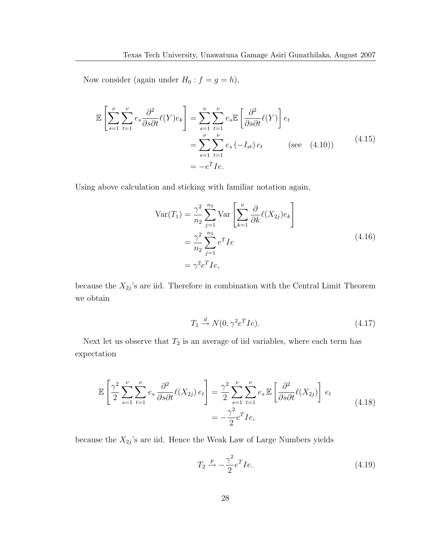Now consider (again under  $H_0: f = g = h$ ),

$$
\mathbb{E}\left[\sum_{s=1}^{\nu}\sum_{t=1}^{\nu}e_{s}\frac{\partial^{2}}{\partial s\partial t}\ell(Y)e_{k}\right] = \sum_{s=1}^{\nu}\sum_{t=1}^{\nu}e_{s}\mathbb{E}\left[\frac{\partial^{2}}{\partial s\partial t}\ell(Y)\right]e_{t}
$$
\n
$$
= \sum_{s=1}^{\nu}\sum_{t=1}^{\nu}e_{s}\left(-I_{st}\right)e_{t} \qquad \text{(see} \quad (4.10))
$$
\n
$$
= -e^{T}Ie. \qquad (4.11)
$$

Using above calculation and sticking with familiar notation again,

$$
\operatorname{Var}(T_1) = \frac{\gamma^2}{n_2} \sum_{j=1}^{n_2} \operatorname{Var}\left[\sum_{k=1}^{\nu} \frac{\partial}{\partial k} \ell(X_{2j}) e_k\right]
$$
  
= 
$$
\frac{\gamma^2}{n_2} \sum_{j=1}^{n_2} e^T I e
$$
  
= 
$$
\gamma^2 e^T I e,
$$
 (4.16)

because the  $X_{2j}$ 's are iid. Therefore in combination with the Central Limit Theorem we obtain

$$
T_1 \stackrel{d}{\rightarrow} N(0, \gamma^2 e^T I e). \tag{4.17}
$$

Next let us observe that  $T_2$  is an average of iid variables, where each term has expectation

$$
\mathbb{E}\left[\frac{\gamma^2}{2}\sum_{s=1}^{\nu}\sum_{t=1}^{\nu}e_s\frac{\partial^2}{\partial s\partial t}\ell(X_{2j})e_t\right] = \frac{\gamma^2}{2}\sum_{s=1}^{\nu}\sum_{t=1}^{\nu}e_s\,\mathbb{E}\left[\frac{\partial^2}{\partial s\partial t}\ell(X_{2j})\right]e_t
$$
\n
$$
= -\frac{\gamma^2}{2}e^T I e,
$$
\n(4.18)

because the  $X_{2j}$ 's are iid. Hence the Weak Law of Large Numbers yields

$$
T_2 \xrightarrow{p} -\frac{\gamma^2}{2} e^T I e. \tag{4.19}
$$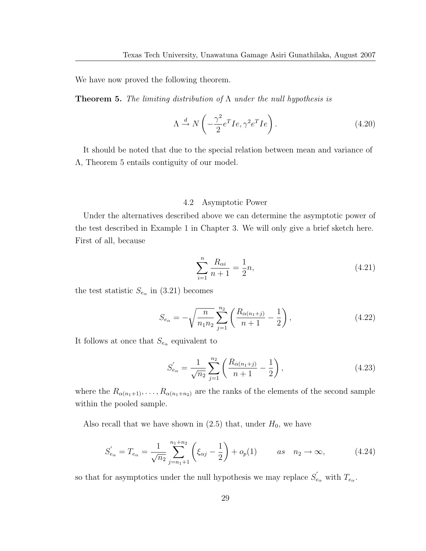We have now proved the following theorem.

**Theorem 5.** The limiting distribution of  $\Lambda$  under the null hypothesis is

$$
\Lambda \stackrel{d}{\rightarrow} N\left(-\frac{\gamma^2}{2}e^T I e, \gamma^2 e^T I e\right). \tag{4.20}
$$

It should be noted that due to the special relation between mean and variance of Λ, Theorem 5 entails contiguity of our model.

### 4.2 Asymptotic Power

Under the alternatives described above we can determine the asymptotic power of the test described in Example 1 in Chapter 3. We will only give a brief sketch here. First of all, because

$$
\sum_{i=1}^{n} \frac{R_{\alpha i}}{n+1} = \frac{1}{2}n,\tag{4.21}
$$

the test statistic  $S_{e_{\alpha}}$  in (3.21) becomes

$$
S_{e_{\alpha}} = -\sqrt{\frac{n}{n_1 n_2}} \sum_{j=1}^{n_2} \left( \frac{R_{\alpha(n_1+j)}}{n+1} - \frac{1}{2} \right), \qquad (4.22)
$$

It follows at once that  $S_{e_{\alpha}}$  equivalent to

$$
S_{e_{\alpha}}^{'} = \frac{1}{\sqrt{n_2}} \sum_{j=1}^{n_2} \left( \frac{R_{\alpha(n_1+j)}}{n+1} - \frac{1}{2} \right),
$$
\n(4.23)

where the  $R_{\alpha(n_1+1)}, \ldots, R_{\alpha(n_1+n_2)}$  are the ranks of the elements of the second sample within the pooled sample.

Also recall that we have shown in  $(2.5)$  that, under  $H_0$ , we have

$$
S'_{e_{\alpha}} = T_{e_{\alpha}} = \frac{1}{\sqrt{n_2}} \sum_{j=n_1+1}^{n_1+n_2} \left( \xi_{\alpha j} - \frac{1}{2} \right) + o_p(1) \qquad \text{as} \quad n_2 \to \infty,
$$
 (4.24)

so that for asymptotics under the null hypothesis we may replace  $S_{e_{\alpha}}^{'}$  with  $T_{e_{\alpha}}$ .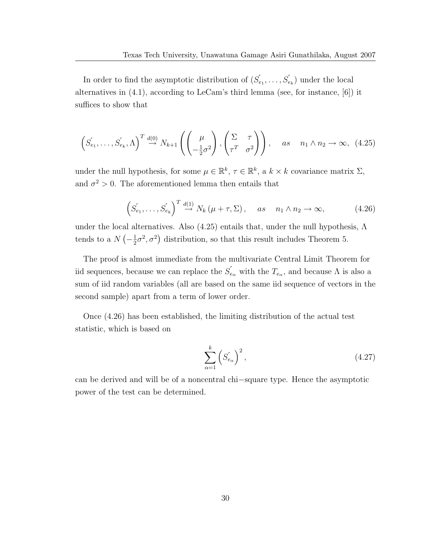In order to find the asymptotic distribution of  $(S_{e_1}, \ldots, S_{e_k})$  under the local alternatives in (4.1), according to LeCam's third lemma (see, for instance, [6]) it suffices to show that

$$
\left(S_{e_1},\ldots,S_{e_k},\Lambda\right)^T \stackrel{d(0)}{\rightarrow} N_{k+1}\left(\begin{pmatrix} \mu\\ -\frac{1}{2}\sigma^2 \end{pmatrix},\begin{pmatrix} \Sigma & \tau\\ \tau^T & \sigma^2 \end{pmatrix}\right), \quad \text{as} \quad n_1 \wedge n_2 \to \infty, \tag{4.25}
$$

under the null hypothesis, for some  $\mu \in \mathbb{R}^k$ ,  $\tau \in \mathbb{R}^k$ , a  $k \times k$  covariance matrix  $\Sigma$ , and  $\sigma^2 > 0$ . The aforementioned lemma then entails that

$$
\left(S_{e_1}',\ldots,S_{e_k}'\right)^T \stackrel{d(1)}{\to} N_k \left(\mu + \tau,\Sigma\right), \quad \text{as} \quad n_1 \wedge n_2 \to \infty,
$$
 (4.26)

under the local alternatives. Also  $(4.25)$  entails that, under the null hypothesis,  $\Lambda$ tends to a  $N\left(-\frac{1}{2}\right)$  $\frac{1}{2}\sigma^2$ ,  $\sigma^2$ ) distribution, so that this result includes Theorem 5.

The proof is almost immediate from the multivariate Central Limit Theorem for iid sequences, because we can replace the  $S_{e_{\alpha}}^{'}$  with the  $T_{e_{\alpha}}$ , and because  $\Lambda$  is also a sum of iid random variables (all are based on the same iid sequence of vectors in the second sample) apart from a term of lower order.

Once (4.26) has been established, the limiting distribution of the actual test statistic, which is based on

$$
\sum_{\alpha=1}^{k} \left( \acute{S}_{e_{\alpha}} \right)^{2}, \tag{4.27}
$$

can be derived and will be of a noncentral chi−square type. Hence the asymptotic power of the test can be determined.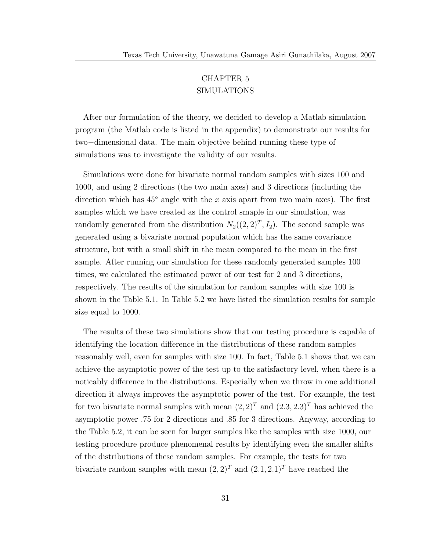## CHAPTER 5 SIMULATIONS

After our formulation of the theory, we decided to develop a Matlab simulation program (the Matlab code is listed in the appendix) to demonstrate our results for two−dimensional data. The main objective behind running these type of simulations was to investigate the validity of our results.

Simulations were done for bivariate normal random samples with sizes 100 and 1000, and using 2 directions (the two main axes) and 3 directions (including the direction which has  $45^\circ$  angle with the x axis apart from two main axes). The first samples which we have created as the control smaple in our simulation, was randomly generated from the distribution  $N_2((2,2)^T, I_2)$ . The second sample was generated using a bivariate normal population which has the same covariance structure, but with a small shift in the mean compared to the mean in the first sample. After running our simulation for these randomly generated samples 100 times, we calculated the estimated power of our test for 2 and 3 directions, respectively. The results of the simulation for random samples with size 100 is shown in the Table 5.1. In Table 5.2 we have listed the simulation results for sample size equal to 1000.

The results of these two simulations show that our testing procedure is capable of identifying the location difference in the distributions of these random samples reasonably well, even for samples with size 100. In fact, Table 5.1 shows that we can achieve the asymptotic power of the test up to the satisfactory level, when there is a noticably difference in the distributions. Especially when we throw in one additional direction it always improves the asymptotic power of the test. For example, the test for two bivariate normal samples with mean  $(2, 2)^T$  and  $(2.3, 2.3)^T$  has achieved the asymptotic power .75 for 2 directions and .85 for 3 directions. Anyway, according to the Table 5.2, it can be seen for larger samples like the samples with size 1000, our testing procedure produce phenomenal results by identifying even the smaller shifts of the distributions of these random samples. For example, the tests for two bivariate random samples with mean  $(2,2)^T$  and  $(2.1,2.1)^T$  have reached the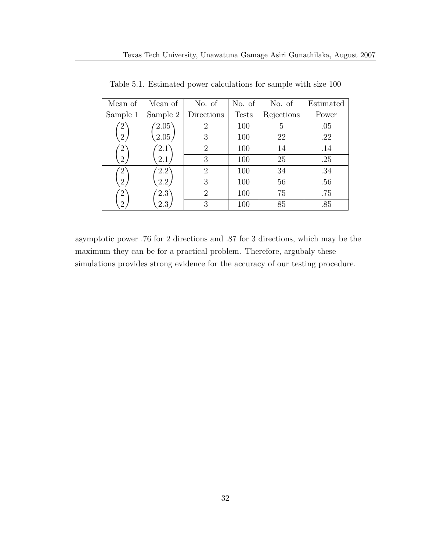| Mean of                     | Mean of        | No. of         | No. of       | No. of     | Estimated |
|-----------------------------|----------------|----------------|--------------|------------|-----------|
| Sample 1                    | Sample 2       | Directions     | <b>Tests</b> | Rejections | Power     |
| $\overline{2}$              | $2.05^{\circ}$ | $\overline{2}$ | 100          | 5          | .05       |
| 2                           | 2.05           | 3              | 100          | 22         | .22       |
| $\overline{2}$              | [2.1]          | $\overline{2}$ | 100          | 14         | .14       |
| $\overline{2}$              | 2.1,           | 3              | 100          | 25         | .25       |
| $\overline{2}$              | $2.2^{\circ}$  | $\overline{2}$ | 100          | 34         | .34       |
| $\overline{2}$              | 2.2            | 3              | 100          | 56         | .56       |
| $\overline{2}$              | $2.3^{\circ}$  | $\overline{2}$ | 100          | 75         | .75       |
| $\mathcal{D}_{\mathcal{A}}$ | 2.3            | 3              | 100          | 85         | .85       |

Table 5.1. Estimated power calculations for sample with size 100

asymptotic power .76 for 2 directions and .87 for 3 directions, which may be the maximum they can be for a practical problem. Therefore, argubaly these simulations provides strong evidence for the accuracy of our testing procedure.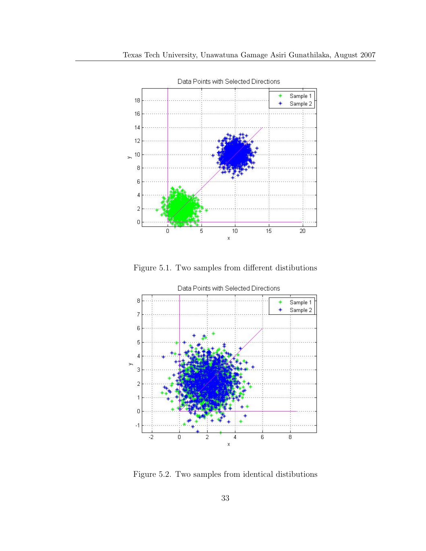

Data Points with Selected Directions

Figure 5.1. Two samples from different distibutions



Figure 5.2. Two samples from identical distibutions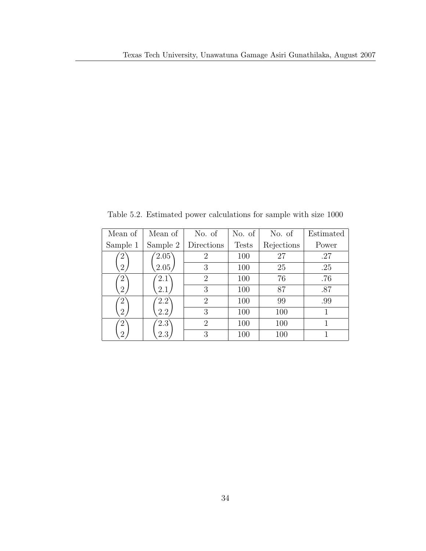Table 5.2. Estimated power calculations for sample with size 1000

| Mean of                | Mean of       | No. of         | No. of       | No. of     | Estimated |
|------------------------|---------------|----------------|--------------|------------|-----------|
| Sample 1               | Sample 2      | Directions     | <b>Tests</b> | Rejections | Power     |
| $\overline{2}$         | 2.05          | 2              | 100          | 27         | .27       |
| $\overline{2}$         | 2.05/         | 3              | 100          | 25         | .25       |
| $\left 2\right\rangle$ | 2.1           | $\overline{2}$ | 100          | 76         | .76       |
| $\mathbf{2}$           | 2.1           | 3              | 100          | 87         | .87       |
| $\left 2\right\rangle$ | $2.2^{\circ}$ | $\overline{2}$ | 100          | 99         | .99       |
| $\mathbf{2}$           | 2.2,          | 3              | 100          | 100        |           |
| $\left 2\right\rangle$ | $2.3^{\circ}$ | $\overline{2}$ | 100          | 100        |           |
| 2 <sub>1</sub>         | 2.3           | 3              | 100          | 100        |           |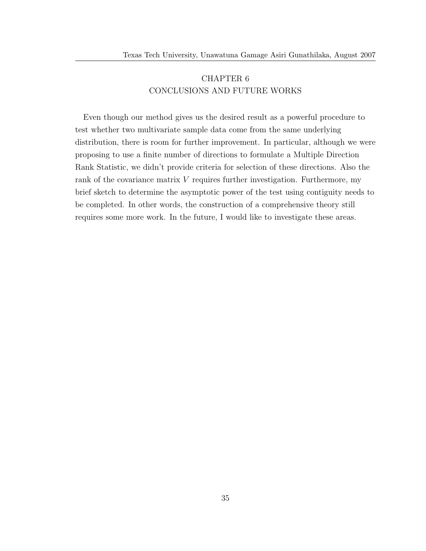## CHAPTER 6 CONCLUSIONS AND FUTURE WORKS

Even though our method gives us the desired result as a powerful procedure to test whether two multivariate sample data come from the same underlying distribution, there is room for further improvement. In particular, although we were proposing to use a finite number of directions to formulate a Multiple Direction Rank Statistic, we didn't provide criteria for selection of these directions. Also the rank of the covariance matrix  $V$  requires further investigation. Furthermore, my brief sketch to determine the asymptotic power of the test using contiguity needs to be completed. In other words, the construction of a comprehensive theory still requires some more work. In the future, I would like to investigate these areas.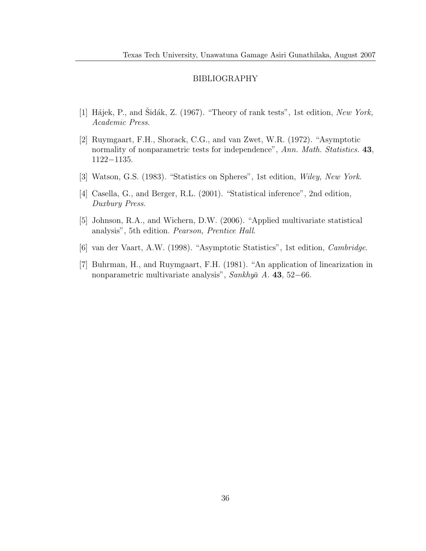#### BIBLIOGRAPHY

- [1] Hájek, P., and Sidák, Z. (1967). "Theory of rank tests", 1st edition, New York, Academic Press.
- [2] Ruymgaart, F.H., Shorack, C.G., and van Zwet, W.R. (1972). "Asymptotic normality of nonparametric tests for independence", Ann. Math. Statistics. 43, 1122−1135.
- [3] Watson, G.S. (1983). "Statistics on Spheres", 1st edition, Wiley, New York.
- [4] Casella, G., and Berger, R.L. (2001). "Statistical inference", 2nd edition, Duxbury Press.
- [5] Johnson, R.A., and Wichern, D.W. (2006). "Applied multivariate statistical analysis", 5th edition. Pearson, Prentice Hall.
- [6] van der Vaart, A.W. (1998). "Asymptotic Statistics", 1st edition, Cambridge.
- [7] Buhrman, H., and Ruymgaart, F.H. (1981). "An application of linearization in nonparametric multivariate analysis", Sankhya¯ A. 43, 52−66.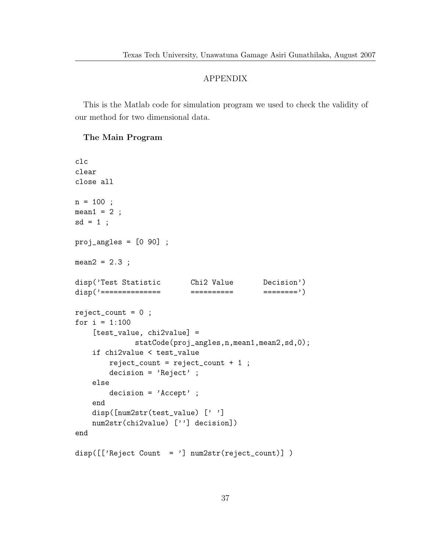### APPENDIX

This is the Matlab code for simulation program we used to check the validity of our method for two dimensional data.

### The Main Program

```
clc
clear
close all
n = 100;
mean1 = 2;
sd = 1 ;
proj_angles = [0 90] ;
mean2 = 2.3;
disp('Test Statistic Chi2 Value Decision')
disp('---------- 2)reject_count = 0 ;
for i = 1:100[test_value, chi2value] =
             statCode(proj_angles,n,mean1,mean2,sd,0);
   if chi2value < test_value
       reject_count = reject_count + 1 ;
       decision = 'Reject' ;
   else
       decision = 'Accept' ;
   end
   disp([num2str(test_value) [' ']
   num2str(chi2value) [''] decision])
end
disp([['Reject Count = '] num2str(reject_count)] )
```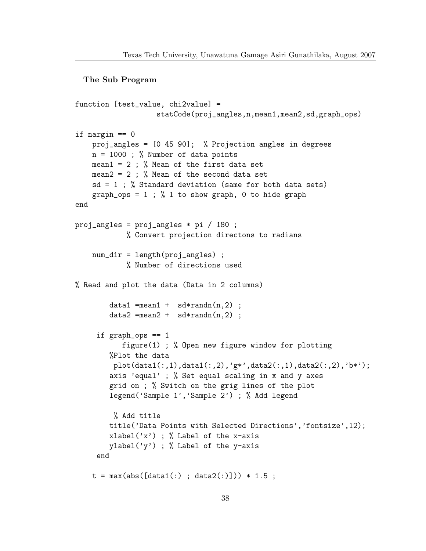### The Sub Program

```
function [test_value, chi2value] =
                   statCode(proj_angles,n,mean1,mean2,sd,graph_ops)
if nargin == 0proj_angles = [0 45 90]; % Projection angles in degrees
    n = 1000 ; % Number of data points
    mean1 = 2 ; % Mean of the first data set
    mean2 = 2; % Mean of the second data set
    sd = 1 ; % Standard deviation (same for both data sets)
    graph_ops = 1; % 1 to show graph, 0 to hide graph
end
proj_angles = proj_angles * pi / 180 ;
            % Convert projection directons to radians
    num_dir = length(proj_angles) ;
            % Number of directions used
% Read and plot the data (Data in 2 columns)
        data1 =mean1 + sd*randn(n,2);
        data2 =mean2 + sd*randn(n,2);
     if graph_ops == 1figure(1) ; % Open new figure window for plotting
        %Plot the data
        plot(data1(:,1),data1(:,2),'g*',data2(:,1),data2(:,2),'b*');axis 'equal' ; % Set equal scaling in x and y axes
        grid on ; % Switch on the grig lines of the plot
        legend('Sample 1','Sample 2') ; % Add legend
        % Add title
        title('Data Points with Selected Directions','fontsize',12);
        xlabel('x') ; % Label of the x-axis
        ylabel('y') ; % Label of the y-axis
     end
    t = max(abs([data1(:); data2(:)])) * 1.5;
```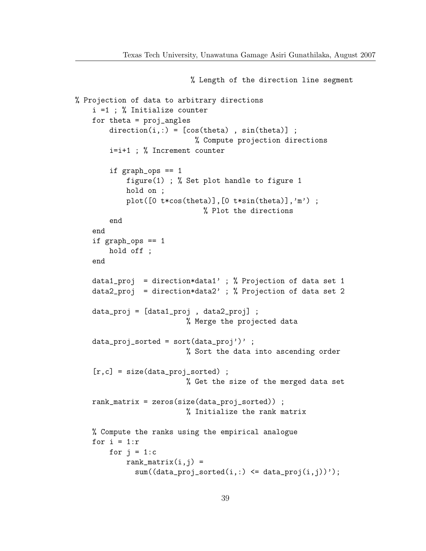% Length of the direction line segment

```
% Projection of data to arbitrary directions
    i =1 ; % Initialize counter
    for theta = proj_angles
        direction(i,:) = [cos(theta) , sin(theta)];
                            % Compute projection directions
        i=i+1 ; % Increment counter
        if graph_ops == 1
            figure(1) ; % Set plot handle to figure 1
            hold on ;
            plot([0 t * cos(theta)], [0 t * sin(theta)], 'm');
                              % Plot the directions
        end
    end
    if graph_ops == 1
        hold off ;
    end
    data1_proj = direction*data1' ; % Projection of data set 1
    data2_proj = direction*data2' ; % Projection of data set 2
    data_proj = [data1_proj , data2_proj] ;
                          % Merge the projected data
    data\_proj\_sorted = sort(data\_proj')';
                          % Sort the data into ascending order
    [r, c] = size(data\_proj\_sorted);
                          % Get the size of the merged data set
    rank_matrix = zeros(size(data_proj_sorted)) ;
                          % Initialize the rank matrix
    % Compute the ranks using the empirical analogue
    for i = 1:rfor j = 1:crank_matrix(i, j) =
              sum((data\_proj\_sorted(i,:) \leq data\_proj(i,j));
```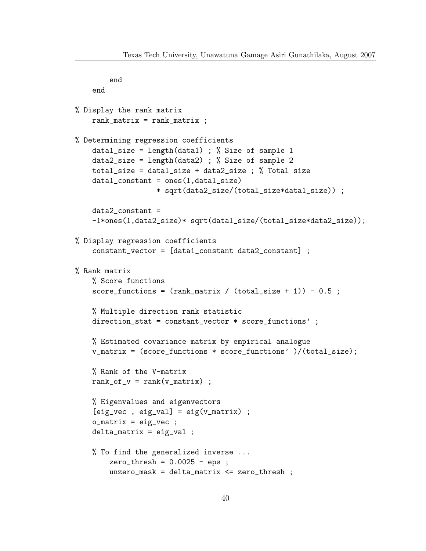```
end
    end
% Display the rank matrix
    rank_matrix = rank_matrix ;
% Determining regression coefficients
    data1_size = length(data1) ; % Size of sample 1
    data2_size = length(data2) ; % Size of sample 2
    total_size = data1_size + data2_size ; % Total size
    data1_{constant} = ones(1, data1_size)* sqrt(data2_size/(total_size*data1_size)) ;
    data2_constant =
    -1*ones(1,data2_size)* sqrt(data1_size/(total_size*data2_size));
% Display regression coefficients
    constant_vector = [data1_constant data2_constant] ;
% Rank matrix
    % Score functions
    score_functions = (rank_matrix / (total_size + 1)) - 0.5;
    % Multiple direction rank statistic
    direction_stat = constant_vector * score_functions' ;
    % Estimated covariance matrix by empirical analogue
    v_matrix = (score_functions * score_functions' )/(total_size);
    % Rank of the V-matrix
    rank_of_v = rank(v_matrix);
    % Eigenvalues and eigenvectors
    [eig\_vec, eig\_val] = eig(v\_matrix);
    o_matrix = eig_vec ;
    delta_matrix = eig_val ;
    % To find the generalized inverse ...
        zero_{\text{thresh}} = 0.0025 -eps;
        unzero_mask = delta_matrix <= zero_thresh ;
```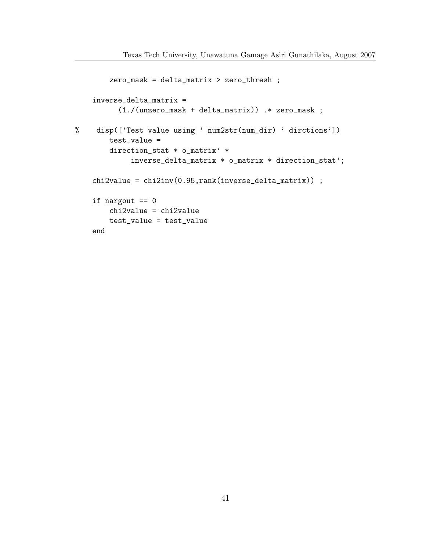```
zero_mask = delta_matrix > zero_thresh ;
    inverse_delta_matrix =
          (1./(unzero_mask + delta_matrix)) .* zero_mask ;
% disp(['Test value using ' num2str(num_dir) ' dirctions'])
        test_value =
        direction_stat * o_matrix' *
             inverse_delta_matrix * o_matrix * direction_stat';
    chi2value = chi2inv(0.95,rank(inverse_delta_matrix)) ;
    if nargout == 0chi2value = chi2value
        test_value = test_value
    end
```